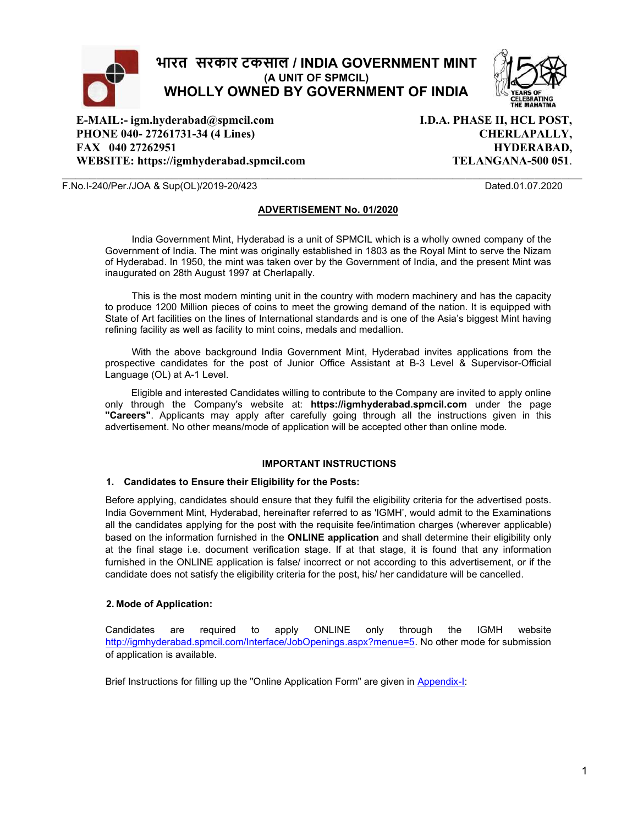

E-MAIL:- igm.hyderabad@spmcil.com PHONE 040- 27261731-34 (4 Lines) FAX 040 27262951 WEBSITE: https://igmhyderabad.spmcil.com I.D.A. PHASE II, HCL POST, CHERLAPALLY, HYDERABAD, TELANGANA-500 051.

#### F.No.I-240/Per./JOA & Sup(OL)/2019-20/423 Dated.01.07.2020

#### ADVERTISEMENT No. 01/2020

 $\overline{\phantom{a}}$  , and the contribution of the contribution of the contribution of the contribution of the contribution of the contribution of the contribution of the contribution of the contribution of the contribution of the

India Government Mint, Hyderabad is a unit of SPMCIL which is a wholly owned company of the Government of India. The mint was originally established in 1803 as the Royal Mint to serve the Nizam of Hyderabad. In 1950, the mint was taken over by the Government of India, and the present Mint was inaugurated on 28th August 1997 at Cherlapally.

This is the most modern minting unit in the country with modern machinery and has the capacity to produce 1200 Million pieces of coins to meet the growing demand of the nation. It is equipped with State of Art facilities on the lines of International standards and is one of the Asia's biggest Mint having refining facility as well as facility to mint coins, medals and medallion.

With the above background India Government Mint, Hyderabad invites applications from the prospective candidates for the post of Junior Office Assistant at B-3 Level & Supervisor-Official Language (OL) at A-1 Level.

Eligible and interested Candidates willing to contribute to the Company are invited to apply online only through the Company's website at: https://igmhyderabad.spmcil.com under the page "Careers". Applicants may apply after carefully going through all the instructions given in this advertisement. No other means/mode of application will be accepted other than online mode.

#### IMPORTANT INSTRUCTIONS

#### 1. Candidates to Ensure their Eligibility for the Posts:

Before applying, candidates should ensure that they fulfil the eligibility criteria for the advertised posts. India Government Mint, Hyderabad, hereinafter referred to as 'IGMH', would admit to the Examinations all the candidates applying for the post with the requisite fee/intimation charges (wherever applicable) based on the information furnished in the ONLINE application and shall determine their eligibility only at the final stage i.e. document verification stage. If at that stage, it is found that any information furnished in the ONLINE application is false/ incorrect or not according to this advertisement, or if the candidate does not satisfy the eligibility criteria for the post, his/ her candidature will be cancelled.

#### 2. Mode of Application:

Candidates are required to apply ONLINE only through the IGMH website http://igmhyderabad.spmcil.com/Interface/JobOpenings.aspx?menue=5. No other mode for submission of application is available.

Brief Instructions for filling up the "Online Application Form" are given in Appendix-I: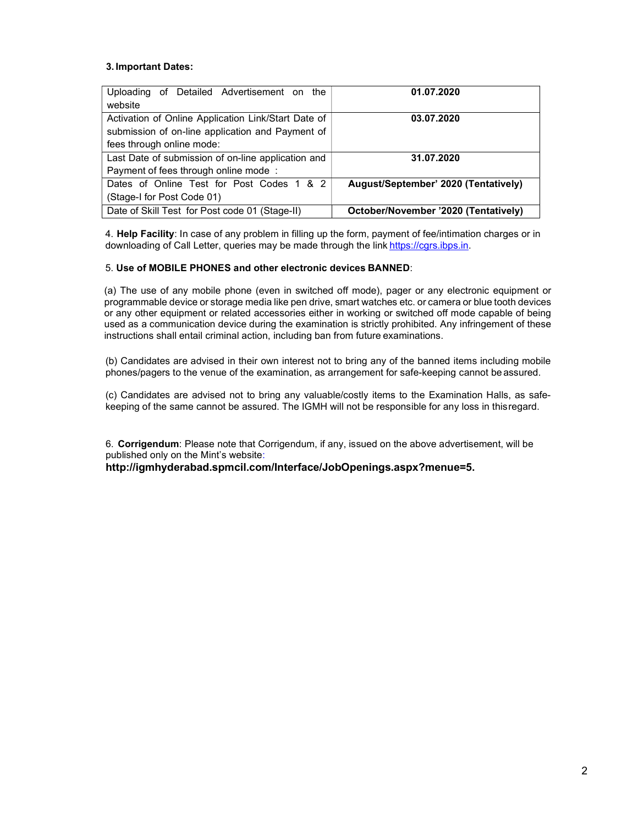#### 3. Important Dates:

| Uploading of Detailed Advertisement on the          | 01.07.2020                           |
|-----------------------------------------------------|--------------------------------------|
| website                                             |                                      |
| Activation of Online Application Link/Start Date of | 03.07.2020                           |
| submission of on-line application and Payment of    |                                      |
| fees through online mode:                           |                                      |
| Last Date of submission of on-line application and  | 31.07.2020                           |
| Payment of fees through online mode:                |                                      |
| Dates of Online Test for Post Codes 1 & 2           | August/September' 2020 (Tentatively) |
| (Stage-I for Post Code 01)                          |                                      |
| Date of Skill Test for Post code 01 (Stage-II)      | October/November '2020 (Tentatively) |

4. Help Facility: In case of any problem in filling up the form, payment of fee/intimation charges or in downloading of Call Letter, queries may be made through the link https://cgrs.ibps.in.

#### 5. Use of MOBILE PHONES and other electronic devices BANNED:

(a) The use of any mobile phone (even in switched off mode), pager or any electronic equipment or programmable device or storage media like pen drive, smart watches etc. or camera or blue tooth devices or any other equipment or related accessories either in working or switched off mode capable of being used as a communication device during the examination is strictly prohibited. Any infringement of these instructions shall entail criminal action, including ban from future examinations.

(b) Candidates are advised in their own interest not to bring any of the banned items including mobile phones/pagers to the venue of the examination, as arrangement for safe-keeping cannot be assured.

(c) Candidates are advised not to bring any valuable/costly items to the Examination Halls, as safekeeping of the same cannot be assured. The IGMH will not be responsible for any loss in this regard.

6. Corrigendum: Please note that Corrigendum, if any, issued on the above advertisement, will be published only on the Mint's website:

http://igmhyderabad.spmcil.com/Interface/JobOpenings.aspx?menue=5.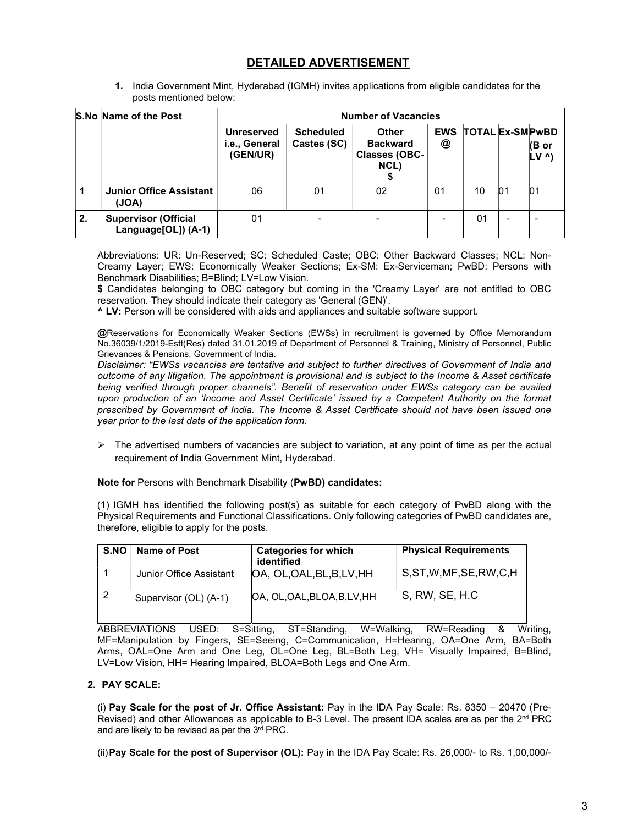# DETAILED ADVERTISEMENT

1. India Government Mint, Hyderabad (IGMH) invites applications from eligible candidates for the posts mentioned below:

|    | S.No Name of the Post                              |                                                | <b>Number of Vacancies</b>      |                                                                 |                 |                        |                          |                          |
|----|----------------------------------------------------|------------------------------------------------|---------------------------------|-----------------------------------------------------------------|-----------------|------------------------|--------------------------|--------------------------|
|    |                                                    | <b>Unreserved</b><br>i.e., General<br>(GEN/UR) | <b>Scheduled</b><br>Castes (SC) | <b>Other</b><br><b>Backward</b><br><b>Classes (OBC-</b><br>NCL) | <b>EWS</b><br>@ | <b>TOTAL Ex-SMPWBD</b> |                          | (B or<br>$LV^{\Lambda}$  |
|    | <b>Junior Office Assistant</b><br>(JOA)            | 06                                             | 01                              | 02                                                              | 01              | 10                     | 01                       | 01                       |
| 2. | <b>Supervisor (Official</b><br>Language[OL]) (A-1) | 01                                             |                                 |                                                                 |                 | 01                     | $\overline{\phantom{a}}$ | $\overline{\phantom{0}}$ |

Abbreviations: UR: Un-Reserved; SC: Scheduled Caste; OBC: Other Backward Classes; NCL: Non-Creamy Layer; EWS: Economically Weaker Sections; Ex-SM: Ex-Serviceman; PwBD: Persons with Benchmark Disabilities; B=Blind; LV=Low Vision.

\$ Candidates belonging to OBC category but coming in the 'Creamy Layer' are not entitled to OBC reservation. They should indicate their category as 'General (GEN)'.

^ LV: Person will be considered with aids and appliances and suitable software support.

@Reservations for Economically Weaker Sections (EWSs) in recruitment is governed by Office Memorandum No.36039/1/2019-Estt(Res) dated 31.01.2019 of Department of Personnel & Training, Ministry of Personnel, Public Grievances & Pensions, Government of India.

Disclaimer: "EWSs vacancies are tentative and subject to further directives of Government of India and outcome of any litigation. The appointment is provisional and is subject to the Income & Asset certificate being verified through proper channels". Benefit of reservation under EWSs category can be availed upon production of an 'Income and Asset Certificate' issued by a Competent Authority on the format prescribed by Government of India. The Income & Asset Certificate should not have been issued one year prior to the last date of the application form.

 $\triangleright$  The advertised numbers of vacancies are subject to variation, at any point of time as per the actual requirement of India Government Mint, Hyderabad.

#### Note for Persons with Benchmark Disability (PwBD) candidates:

(1) IGMH has identified the following post(s) as suitable for each category of PwBD along with the Physical Requirements and Functional Classifications. Only following categories of PwBD candidates are, therefore, eligible to apply for the posts.

| S.NO   Name of Post     | <b>Categories for which</b><br>identified | <b>Physical Requirements</b> |
|-------------------------|-------------------------------------------|------------------------------|
| Junior Office Assistant | OA, OL, OAL, BL, B, LV, HH                | S, ST, W, MF, SE, RW, C, H   |
| Supervisor (OL) (A-1)   | OA, OL, OAL, BLOA, B, LV, HH              | S, RW, SE, H.C.              |

ABBREVIATIONS USED: S=Sitting, ST=Standing, W=Walking, RW=Reading & Writing, MF=Manipulation by Fingers, SE=Seeing, C=Communication, H=Hearing, OA=One Arm, BA=Both Arms, OAL=One Arm and One Leg, OL=One Leg, BL=Both Leg, VH= Visually Impaired, B=Blind, LV=Low Vision, HH= Hearing Impaired, BLOA=Both Legs and One Arm.

#### 2. PAY SCALE:

(i) Pay Scale for the post of Jr. Office Assistant: Pay in the IDA Pay Scale: Rs. 8350 – 20470 (Pre-Revised) and other Allowances as applicable to B-3 Level. The present IDA scales are as per the 2nd PRC and are likely to be revised as per the 3rd PRC.

(ii) Pay Scale for the post of Supervisor (OL): Pay in the IDA Pay Scale: Rs. 26,000/- to Rs. 1,00,000/-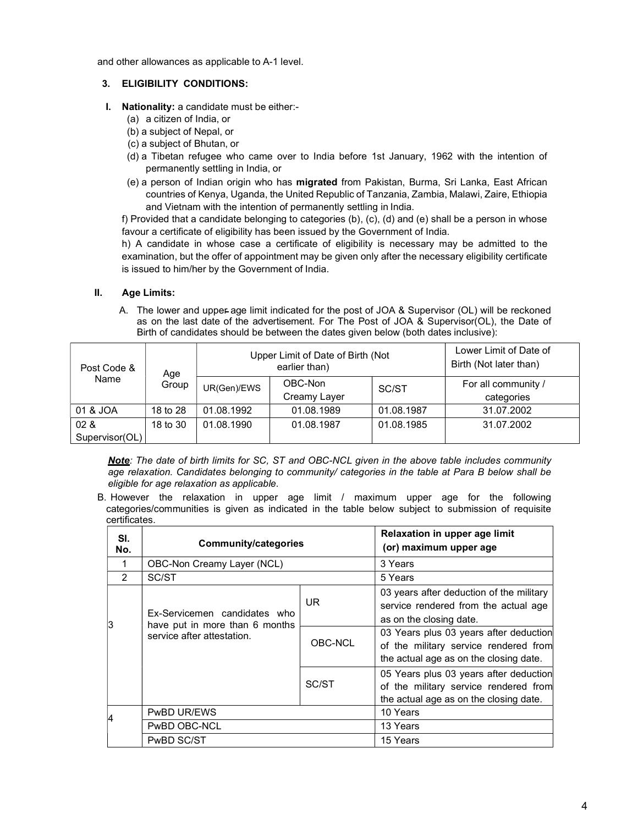and other allowances as applicable to A-1 level.

#### 3. ELIGIBILITY CONDITIONS:

- I. Nationality: a candidate must be either:-
	- (a) a citizen of India, or
	- (b) a subject of Nepal, or
	- (c) a subject of Bhutan, or
	- (d) a Tibetan refugee who came over to India before 1st January, 1962 with the intention of permanently settling in India, or
	- (e) a person of Indian origin who has migrated from Pakistan, Burma, Sri Lanka, East African countries of Kenya, Uganda, the United Republic of Tanzania, Zambia, Malawi, Zaire, Ethiopia and Vietnam with the intention of permanently settling in India.

f) Provided that a candidate belonging to categories (b), (c), (d) and (e) shall be a person in whose favour a certificate of eligibility has been issued by the Government of India.

h) A candidate in whose case a certificate of eligibility is necessary may be admitted to the examination, but the offer of appointment may be given only after the necessary eligibility certificate is issued to him/her by the Government of India.

#### II. Age Limits:

A. The lower and upper age limit indicated for the post of JOA & Supervisor (OL) will be reckoned as on the last date of the advertisement. For The Post of JOA & Supervisor(OL), the Date of Birth of candidates should be between the dates given below (both dates inclusive):

| Post Code &            | Age      | Upper Limit of Date of Birth (Not<br>earlier than) |                         | Lower Limit of Date of<br>Birth (Not later than) |                                   |
|------------------------|----------|----------------------------------------------------|-------------------------|--------------------------------------------------|-----------------------------------|
| Name                   | Group    | UR(Gen)/EWS                                        | OBC-Non<br>Creamy Layer | SC/ST                                            | For all community /<br>categories |
| 01 & JOA               | 18 to 28 | 01.08.1992                                         | 01.08.1989              | 01.08.1987                                       | 31.07.2002                        |
| 02 &<br>Supervisor(OL) | 18 to 30 | 01.08.1990                                         | 01.08.1987              | 01.08.1985                                       | 31.07.2002                        |

Note: The date of birth limits for SC, ST and OBC-NCL given in the above table includes community age relaxation. Candidates belonging to community/ categories in the table at Para B below shall be eligible for age relaxation as applicable.

B. However the relaxation in upper age limit / maximum upper age for the following categories/communities is given as indicated in the table below subject to submission of requisite certificates.

| SI.<br>No.    | <b>Community/categories</b>                                    |         | Relaxation in upper age limit<br>(or) maximum upper age                                                                   |
|---------------|----------------------------------------------------------------|---------|---------------------------------------------------------------------------------------------------------------------------|
| 1             | OBC-Non Creamy Layer (NCL)                                     |         | 3 Years                                                                                                                   |
| $\mathcal{P}$ | SC/ST                                                          |         | 5 Years                                                                                                                   |
| 13            | Ex-Servicemen candidates who<br>have put in more than 6 months | UR.     | 03 years after deduction of the military<br>service rendered from the actual age<br>as on the closing date.               |
|               | service after attestation.                                     | OBC-NCL | 03 Years plus 03 years after deduction<br>of the military service rendered from<br>the actual age as on the closing date. |
|               |                                                                | SC/ST   | 05 Years plus 03 years after deduction<br>of the military service rendered from<br>the actual age as on the closing date. |
|               | PwBD UR/EWS                                                    |         | 10 Years                                                                                                                  |
|               | PwBD OBC-NCL                                                   |         | 13 Years                                                                                                                  |
|               | PwBD SC/ST                                                     |         | 15 Years                                                                                                                  |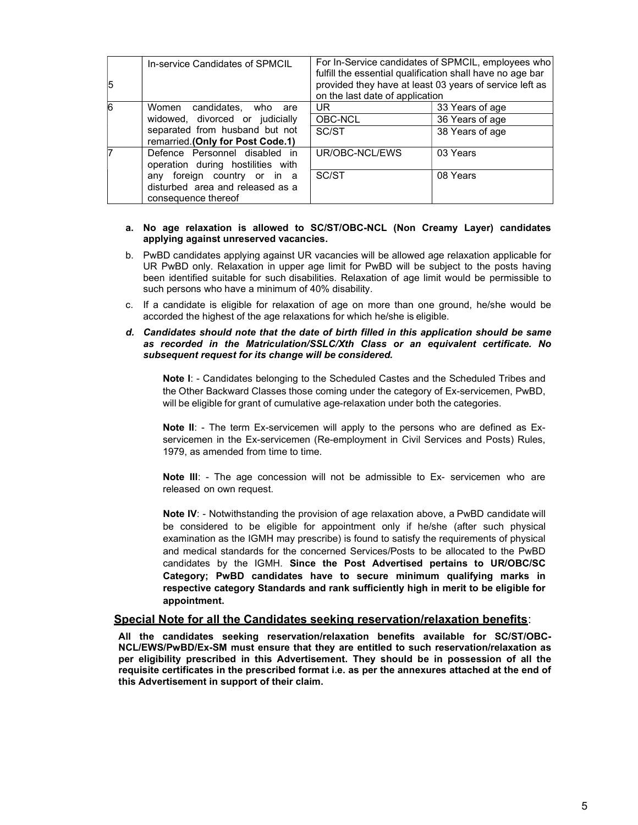| 15             | In-service Candidates of SPMCIL                                                                                                                              | For In-Service candidates of SPMCIL, employees who<br>fulfill the essential qualification shall have no age bar<br>provided they have at least 03 years of service left as<br>on the last date of application |                                                       |  |
|----------------|--------------------------------------------------------------------------------------------------------------------------------------------------------------|---------------------------------------------------------------------------------------------------------------------------------------------------------------------------------------------------------------|-------------------------------------------------------|--|
| $\overline{6}$ | Women candidates, who<br>are<br>widowed, divorced or judicially<br>separated from husband but not<br>remarried.(Only for Post Code.1)                        | UR<br>OBC-NCL<br>SC/ST                                                                                                                                                                                        | 33 Years of age<br>36 Years of age<br>38 Years of age |  |
|                | Defence Personnel disabled in<br>operation during hostilities with<br>any foreign country or in a<br>disturbed area and released as a<br>consequence thereof | UR/OBC-NCL/EWS<br>SC/ST                                                                                                                                                                                       | 03 Years<br>08 Years                                  |  |

#### a. No age relaxation is allowed to SC/ST/OBC-NCL (Non Creamy Layer) candidates applying against unreserved vacancies.

- b. PwBD candidates applying against UR vacancies will be allowed age relaxation applicable for UR PwBD only. Relaxation in upper age limit for PwBD will be subject to the posts having been identified suitable for such disabilities. Relaxation of age limit would be permissible to such persons who have a minimum of 40% disability.
- c. If a candidate is eligible for relaxation of age on more than one ground, he/she would be accorded the highest of the age relaxations for which he/she is eligible.

#### d. Candidates should note that the date of birth filled in this application should be same as recorded in the Matriculation/SSLC/Xth Class or an equivalent certificate. No subsequent request for its change will be considered.

Note I: - Candidates belonging to the Scheduled Castes and the Scheduled Tribes and the Other Backward Classes those coming under the category of Ex-servicemen, PwBD, will be eligible for grant of cumulative age-relaxation under both the categories.

Note II: - The term Ex-servicemen will apply to the persons who are defined as Exservicemen in the Ex-servicemen (Re-employment in Civil Services and Posts) Rules, 1979, as amended from time to time.

Note III: - The age concession will not be admissible to Ex- servicemen who are released on own request.

Note IV: - Notwithstanding the provision of age relaxation above, a PwBD candidate will be considered to be eligible for appointment only if he/she (after such physical examination as the IGMH may prescribe) is found to satisfy the requirements of physical and medical standards for the concerned Services/Posts to be allocated to the PwBD candidates by the IGMH. Since the Post Advertised pertains to UR/OBC/SC Category; PwBD candidates have to secure minimum qualifying marks in respective category Standards and rank sufficiently high in merit to be eligible for appointment.

#### Special Note for all the Candidates seeking reservation/relaxation benefits:

All the candidates seeking reservation/relaxation benefits available for SC/ST/OBC-NCL/EWS/PwBD/Ex-SM must ensure that they are entitled to such reservation/relaxation as per eligibility prescribed in this Advertisement. They should be in possession of all the requisite certificates in the prescribed format i.e. as per the annexures attached at the end of this Advertisement in support of their claim.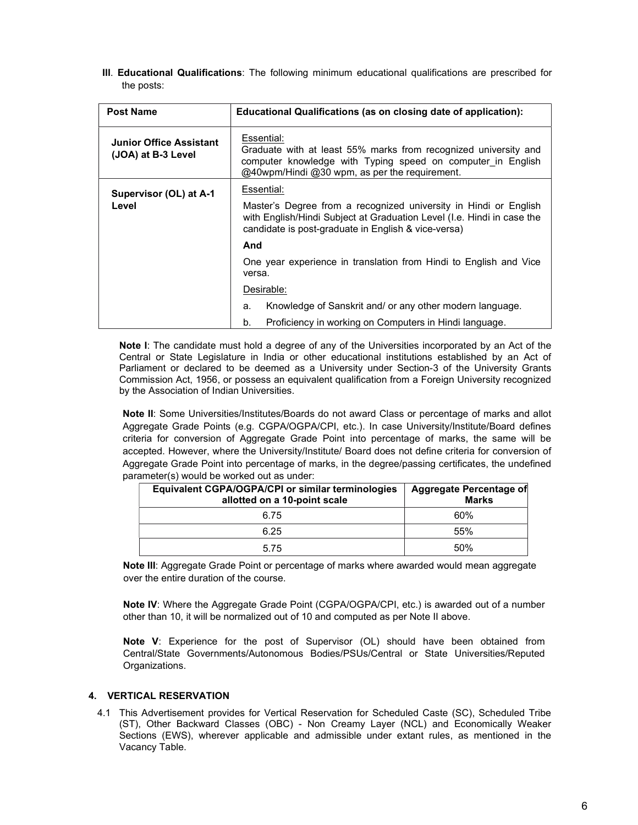Ill. Educational Qualifications: The following minimum educational qualifications are prescribed for the posts:

| <b>Post Name</b>                                     | Educational Qualifications (as on closing date of application):                                                                                                                                   |  |  |
|------------------------------------------------------|---------------------------------------------------------------------------------------------------------------------------------------------------------------------------------------------------|--|--|
| <b>Junior Office Assistant</b><br>(JOA) at B-3 Level | Essential:<br>Graduate with at least 55% marks from recognized university and<br>computer knowledge with Typing speed on computer in English<br>@40wpm/Hindi @30 wpm, as per the requirement.     |  |  |
| Supervisor (OL) at A-1                               | Essential:                                                                                                                                                                                        |  |  |
| Level                                                | Master's Degree from a recognized university in Hindi or English<br>with English/Hindi Subject at Graduation Level (I.e. Hindi in case the<br>candidate is post-graduate in English & vice-versa) |  |  |
|                                                      | And                                                                                                                                                                                               |  |  |
|                                                      | One year experience in translation from Hindi to English and Vice<br>versa.                                                                                                                       |  |  |
|                                                      | Desirable:                                                                                                                                                                                        |  |  |
|                                                      | Knowledge of Sanskrit and/ or any other modern language.<br>a.                                                                                                                                    |  |  |
|                                                      | Proficiency in working on Computers in Hindi language.<br>b.                                                                                                                                      |  |  |

Note I: The candidate must hold a degree of any of the Universities incorporated by an Act of the Central or State Legislature in India or other educational institutions established by an Act of Parliament or declared to be deemed as a University under Section-3 of the University Grants Commission Act, 1956, or possess an equivalent qualification from a Foreign University recognized by the Association of Indian Universities.

Note II: Some Universities/Institutes/Boards do not award Class or percentage of marks and allot Aggregate Grade Points (e.g. CGPA/OGPA/CPI, etc.). In case University/Institute/Board defines criteria for conversion of Aggregate Grade Point into percentage of marks, the same will be accepted. However, where the University/Institute/ Board does not define criteria for conversion of Aggregate Grade Point into percentage of marks, in the degree/passing certificates, the undefined parameter(s) would be worked out as under:

| Equivalent CGPA/OGPA/CPI or similar terminologies<br>allotted on a 10-point scale | Aggregate Percentage of<br><b>Marks</b> |
|-----------------------------------------------------------------------------------|-----------------------------------------|
| 6.75                                                                              | 60%                                     |
| 6.25                                                                              | 55%                                     |
| 5.75                                                                              | 50%                                     |

Note III: Aggregate Grade Point or percentage of marks where awarded would mean aggregate over the entire duration of the course.

Note IV: Where the Aggregate Grade Point (CGPA/OGPA/CPI, etc.) is awarded out of a number other than 10, it will be normalized out of 10 and computed as per Note II above.

Note V: Experience for the post of Supervisor (OL) should have been obtained from Central/State Governments/Autonomous Bodies/PSUs/Central or State Universities/Reputed Organizations.

#### 4. VERTICAL RESERVATION

4.1 This Advertisement provides for Vertical Reservation for Scheduled Caste (SC), Scheduled Tribe (ST), Other Backward Classes (OBC) - Non Creamy Layer (NCL) and Economically Weaker Sections (EWS), wherever applicable and admissible under extant rules, as mentioned in the Vacancy Table.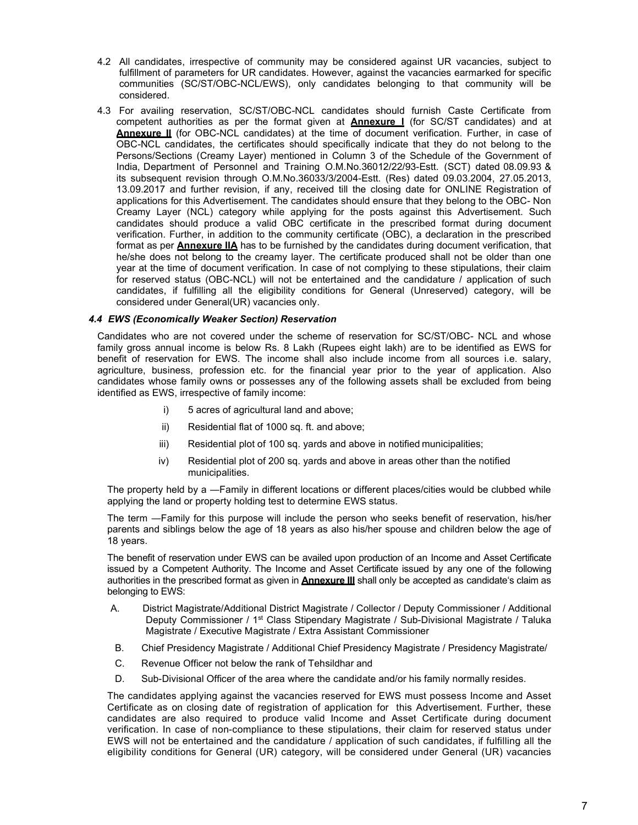- 4.2 All candidates, irrespective of community may be considered against UR vacancies, subject to fulfillment of parameters for UR candidates. However, against the vacancies earmarked for specific communities (SC/ST/OBC-NCL/EWS), only candidates belonging to that community will be considered.
- 4.3 For availing reservation, SC/ST/OBC-NCL candidates should furnish Caste Certificate from competent authorities as per the format given at **Annexure I** (for SC/ST candidates) and at Annexure II (for OBC-NCL candidates) at the time of document verification. Further, in case of OBC-NCL candidates, the certificates should specifically indicate that they do not belong to the Persons/Sections (Creamy Layer) mentioned in Column 3 of the Schedule of the Government of India, Department of Personnel and Training O.M.No.36012/22/93-Estt. (SCT) dated 08.09.93 & its subsequent revision through O.M.No.36033/3/2004-Estt. (Res) dated 09.03.2004, 27.05.2013, 13.09.2017 and further revision, if any, received till the closing date for ONLINE Registration of applications for this Advertisement. The candidates should ensure that they belong to the OBC- Non Creamy Layer (NCL) category while applying for the posts against this Advertisement. Such candidates should produce a valid OBC certificate in the prescribed format during document verification. Further, in addition to the community certificate (OBC), a declaration in the prescribed format as per **Annexure IIA** has to be furnished by the candidates during document verification, that he/she does not belong to the creamy layer. The certificate produced shall not be older than one year at the time of document verification. In case of not complying to these stipulations, their claim for reserved status (OBC-NCL) will not be entertained and the candidature / application of such candidates, if fulfilling all the eligibility conditions for General (Unreserved) category, will be considered under General(UR) vacancies only.

#### 4.4 EWS (Economically Weaker Section) Reservation

Candidates who are not covered under the scheme of reservation for SC/ST/OBC- NCL and whose family gross annual income is below Rs. 8 Lakh (Rupees eight lakh) are to be identified as EWS for benefit of reservation for EWS. The income shall also include income from all sources i.e. salary, agriculture, business, profession etc. for the financial year prior to the year of application. Also candidates whose family owns or possesses any of the following assets shall be excluded from being identified as EWS, irrespective of family income:

- i) 5 acres of agricultural land and above;
- ii) Residential flat of 1000 sq. ft. and above;
- iii) Residential plot of 100 sq. yards and above in notified municipalities;
- iv) Residential plot of 200 sq. yards and above in areas other than the notified municipalities.

The property held by a —Family in different locations or different places/cities would be clubbed while applying the land or property holding test to determine EWS status.

The term ―Family for this purpose will include the person who seeks benefit of reservation, his/her parents and siblings below the age of 18 years as also his/her spouse and children below the age of 18 years.

The benefit of reservation under EWS can be availed upon production of an Income and Asset Certificate issued by a Competent Authority. The Income and Asset Certificate issued by any one of the following authorities in the prescribed format as given in **Annexure III** shall only be accepted as candidate's claim as belonging to EWS:

- A. District Magistrate/Additional District Magistrate / Collector / Deputy Commissioner / Additional Deputy Commissioner / 1st Class Stipendary Magistrate / Sub-Divisional Magistrate / Taluka Magistrate / Executive Magistrate / Extra Assistant Commissioner
- B. Chief Presidency Magistrate / Additional Chief Presidency Magistrate / Presidency Magistrate/
- C. Revenue Officer not below the rank of Tehsildhar and
- D. Sub-Divisional Officer of the area where the candidate and/or his family normally resides.

The candidates applying against the vacancies reserved for EWS must possess Income and Asset Certificate as on closing date of registration of application for this Advertisement. Further, these candidates are also required to produce valid Income and Asset Certificate during document verification. In case of non-compliance to these stipulations, their claim for reserved status under EWS will not be entertained and the candidature / application of such candidates, if fulfilling all the eligibility conditions for General (UR) category, will be considered under General (UR) vacancies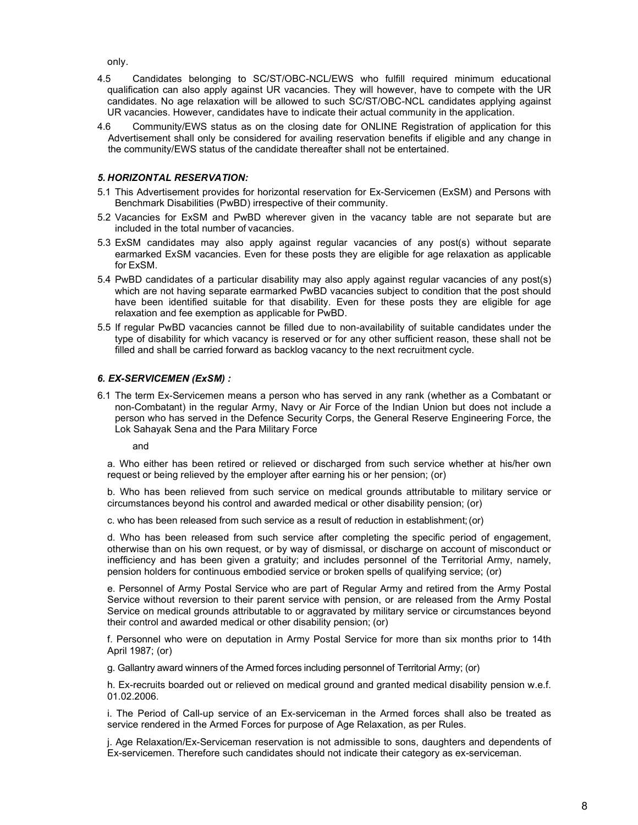only.

- 4.5 Candidates belonging to SC/ST/OBC-NCL/EWS who fulfill required minimum educational qualification can also apply against UR vacancies. They will however, have to compete with the UR candidates. No age relaxation will be allowed to such SC/ST/OBC-NCL candidates applying against UR vacancies. However, candidates have to indicate their actual community in the application.
- 4.6 Community/EWS status as on the closing date for ONLINE Registration of application for this Advertisement shall only be considered for availing reservation benefits if eligible and any change in the community/EWS status of the candidate thereafter shall not be entertained.

#### 5. HORIZONTAL RESERVATION:

- 5.1 This Advertisement provides for horizontal reservation for Ex-Servicemen (ExSM) and Persons with Benchmark Disabilities (PwBD) irrespective of their community.
- 5.2 Vacancies for ExSM and PwBD wherever given in the vacancy table are not separate but are included in the total number of vacancies.
- 5.3 ExSM candidates may also apply against regular vacancies of any post(s) without separate earmarked ExSM vacancies. Even for these posts they are eligible for age relaxation as applicable for ExSM.
- 5.4 PwBD candidates of a particular disability may also apply against regular vacancies of any post(s) which are not having separate earmarked PwBD vacancies subject to condition that the post should have been identified suitable for that disability. Even for these posts they are eligible for age relaxation and fee exemption as applicable for PwBD.
- 5.5 If regular PwBD vacancies cannot be filled due to non-availability of suitable candidates under the type of disability for which vacancy is reserved or for any other sufficient reason, these shall not be filled and shall be carried forward as backlog vacancy to the next recruitment cycle.

#### 6. EX-SERVICEMEN (ExSM) :

6.1 The term Ex-Servicemen means a person who has served in any rank (whether as a Combatant or non-Combatant) in the regular Army, Navy or Air Force of the Indian Union but does not include a person who has served in the Defence Security Corps, the General Reserve Engineering Force, the Lok Sahayak Sena and the Para Military Force

and

a. Who either has been retired or relieved or discharged from such service whether at his/her own request or being relieved by the employer after earning his or her pension; (or)

b. Who has been relieved from such service on medical grounds attributable to military service or circumstances beyond his control and awarded medical or other disability pension; (or)

c. who has been released from such service as a result of reduction in establishment; (or)

d. Who has been released from such service after completing the specific period of engagement, otherwise than on his own request, or by way of dismissal, or discharge on account of misconduct or inefficiency and has been given a gratuity; and includes personnel of the Territorial Army, namely, pension holders for continuous embodied service or broken spells of qualifying service; (or)

e. Personnel of Army Postal Service who are part of Regular Army and retired from the Army Postal Service without reversion to their parent service with pension, or are released from the Army Postal Service on medical grounds attributable to or aggravated by military service or circumstances beyond their control and awarded medical or other disability pension; (or)

f. Personnel who were on deputation in Army Postal Service for more than six months prior to 14th April 1987; (or)

g. Gallantry award winners of the Armed forces including personnel of Territorial Army; (or)

h. Ex-recruits boarded out or relieved on medical ground and granted medical disability pension w.e.f. 01.02.2006.

i. The Period of Call-up service of an Ex-serviceman in the Armed forces shall also be treated as service rendered in the Armed Forces for purpose of Age Relaxation, as per Rules.

j. Age Relaxation/Ex-Serviceman reservation is not admissible to sons, daughters and dependents of Ex-servicemen. Therefore such candidates should not indicate their category as ex-serviceman.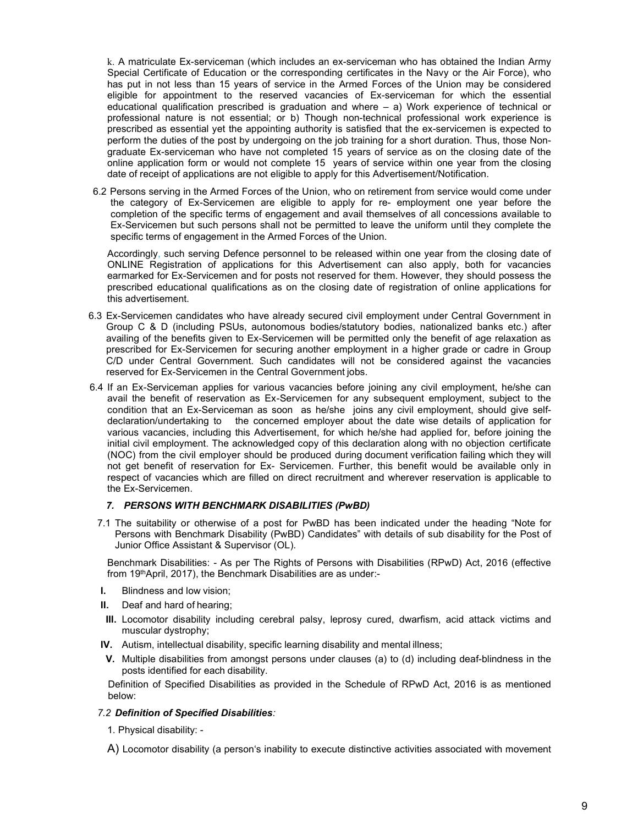k. A matriculate Ex-serviceman (which includes an ex-serviceman who has obtained the Indian Army Special Certificate of Education or the corresponding certificates in the Navy or the Air Force), who has put in not less than 15 years of service in the Armed Forces of the Union may be considered eligible for appointment to the reserved vacancies of Ex-serviceman for which the essential educational qualification prescribed is graduation and where  $-$  a) Work experience of technical or professional nature is not essential; or b) Though non-technical professional work experience is prescribed as essential yet the appointing authority is satisfied that the ex-servicemen is expected to perform the duties of the post by undergoing on the job training for a short duration. Thus, those Nongraduate Ex-serviceman who have not completed 15 years of service as on the closing date of the online application form or would not complete 15 years of service within one year from the closing date of receipt of applications are not eligible to apply for this Advertisement/Notification.

6.2 Persons serving in the Armed Forces of the Union, who on retirement from service would come under the category of Ex-Servicemen are eligible to apply for re- employment one year before the completion of the specific terms of engagement and avail themselves of all concessions available to Ex-Servicemen but such persons shall not be permitted to leave the uniform until they complete the specific terms of engagement in the Armed Forces of the Union.

Accordingly, such serving Defence personnel to be released within one year from the closing date of ONLINE Registration of applications for this Advertisement can also apply, both for vacancies earmarked for Ex-Servicemen and for posts not reserved for them. However, they should possess the prescribed educational qualifications as on the closing date of registration of online applications for this advertisement.

- 6.3 Ex-Servicemen candidates who have already secured civil employment under Central Government in Group C & D (including PSUs, autonomous bodies/statutory bodies, nationalized banks etc.) after availing of the benefits given to Ex-Servicemen will be permitted only the benefit of age relaxation as prescribed for Ex-Servicemen for securing another employment in a higher grade or cadre in Group C/D under Central Government. Such candidates will not be considered against the vacancies reserved for Ex-Servicemen in the Central Government jobs.
- 6.4 If an Ex-Serviceman applies for various vacancies before joining any civil employment, he/she can avail the benefit of reservation as Ex-Servicemen for any subsequent employment, subject to the condition that an Ex-Serviceman as soon as he/she joins any civil employment, should give selfdeclaration/undertaking to the concerned employer about the date wise details of application for various vacancies, including this Advertisement, for which he/she had applied for, before joining the initial civil employment. The acknowledged copy of this declaration along with no objection certificate (NOC) from the civil employer should be produced during document verification failing which they will not get benefit of reservation for Ex- Servicemen. Further, this benefit would be available only in respect of vacancies which are filled on direct recruitment and wherever reservation is applicable to the Ex-Servicemen.

#### 7. PERSONS WITH BENCHMARK DISABILITIES (PwBD)

7.1 The suitability or otherwise of a post for PwBD has been indicated under the heading "Note for Persons with Benchmark Disability (PwBD) Candidates" with details of sub disability for the Post of Junior Office Assistant & Supervisor (OL).

Benchmark Disabilities: - As per The Rights of Persons with Disabilities (RPwD) Act, 2016 (effective from 19thApril, 2017), the Benchmark Disabilities are as under:-

- I. Blindness and low vision;
- II. Deaf and hard of hearing;
- III. Locomotor disability including cerebral palsy, leprosy cured, dwarfism, acid attack victims and muscular dystrophy;
- IV. Autism, intellectual disability, specific learning disability and mental illness;
- V. Multiple disabilities from amongst persons under clauses (a) to (d) including deaf-blindness in the posts identified for each disability.

Definition of Specified Disabilities as provided in the Schedule of RPwD Act, 2016 is as mentioned below:

#### 7.2 Definition of Specified Disabilities:

1. Physical disability: -

A) Locomotor disability (a person's inability to execute distinctive activities associated with movement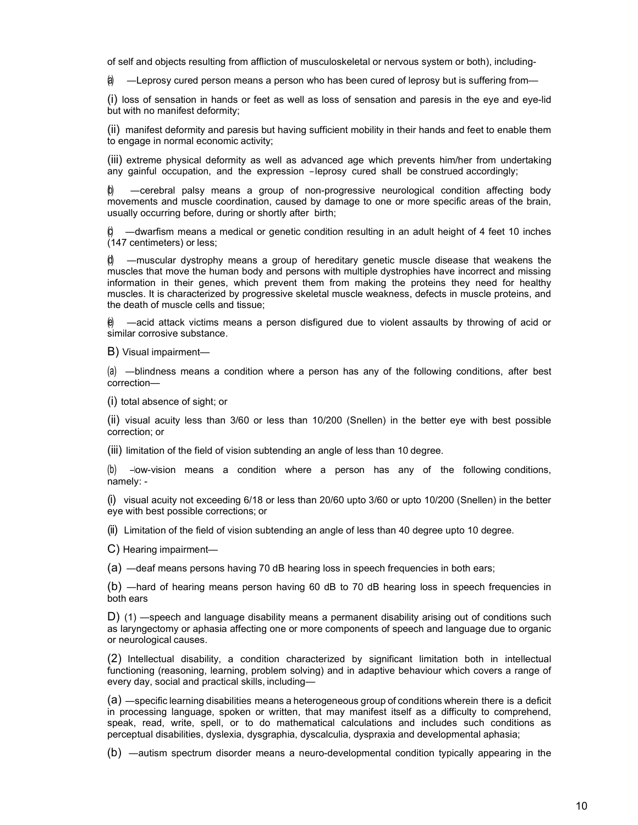of self and objects resulting from affliction of musculoskeletal or nervous system or both), including-

 $\hat{\mathbf{a}}$  —Leprosy cured person means a person who has been cured of leprosy but is suffering from—

(i) loss of sensation in hands or feet as well as loss of sensation and paresis in the eye and eye-lid but with no manifest deformity;

(ii) manifest deformity and paresis but having sufficient mobility in their hands and feet to enable them to engage in normal economic activity;

(iii) extreme physical deformity as well as advanced age which prevents him/her from undertaking any gainful occupation, and the expression ― leprosy cured shall be construed accordingly;

(b) ―cerebral palsy means a group of non-progressive neurological condition affecting body movements and muscle coordination, caused by damage to one or more specific areas of the brain, usually occurring before, during or shortly after birth;

 $-$ dwarfism means a medical or genetic condition resulting in an adult height of 4 feet 10 inches (147 centimeters) or less;

 $-$ muscular dystrophy means a group of hereditary genetic muscle disease that weakens the muscles that move the human body and persons with multiple dystrophies have incorrect and missing information in their genes, which prevent them from making the proteins they need for healthy muscles. It is characterized by progressive skeletal muscle weakness, defects in muscle proteins, and the death of muscle cells and tissue;

—acid attack victims means a person disfigured due to violent assaults by throwing of acid or similar corrosive substance.

B) Visual impairment—

(a) ―blindness means a condition where a person has any of the following conditions, after best correction—

(i) total absence of sight; or

(ii) visual acuity less than 3/60 or less than 10/200 (Snellen) in the better eye with best possible correction; or

(iii) limitation of the field of vision subtending an angle of less than 10 degree.

(b) ―low-vision means a condition where a person has any of the following conditions, namely: -

(i) visual acuity not exceeding 6/18 or less than 20/60 upto 3/60 or upto 10/200 (Snellen) in the better eye with best possible corrections; or

(ii) Limitation of the field of vision subtending an angle of less than 40 degree upto 10 degree.

C) Hearing impairment—

(a) ―deaf means persons having 70 dB hearing loss in speech frequencies in both ears;

(b) ―hard of hearing means person having 60 dB to 70 dB hearing loss in speech frequencies in both ears

D) (1) ―speech and language disability means a permanent disability arising out of conditions such as laryngectomy or aphasia affecting one or more components of speech and language due to organic or neurological causes.

(2) Intellectual disability, a condition characterized by significant limitation both in intellectual functioning (reasoning, learning, problem solving) and in adaptive behaviour which covers a range of every day, social and practical skills, including—

(a) ―specific learning disabilities means a heterogeneous group of conditions wherein there is a deficit in processing language, spoken or written, that may manifest itself as a difficulty to comprehend, speak, read, write, spell, or to do mathematical calculations and includes such conditions as perceptual disabilities, dyslexia, dysgraphia, dyscalculia, dyspraxia and developmental aphasia;

(b) ―autism spectrum disorder means a neuro-developmental condition typically appearing in the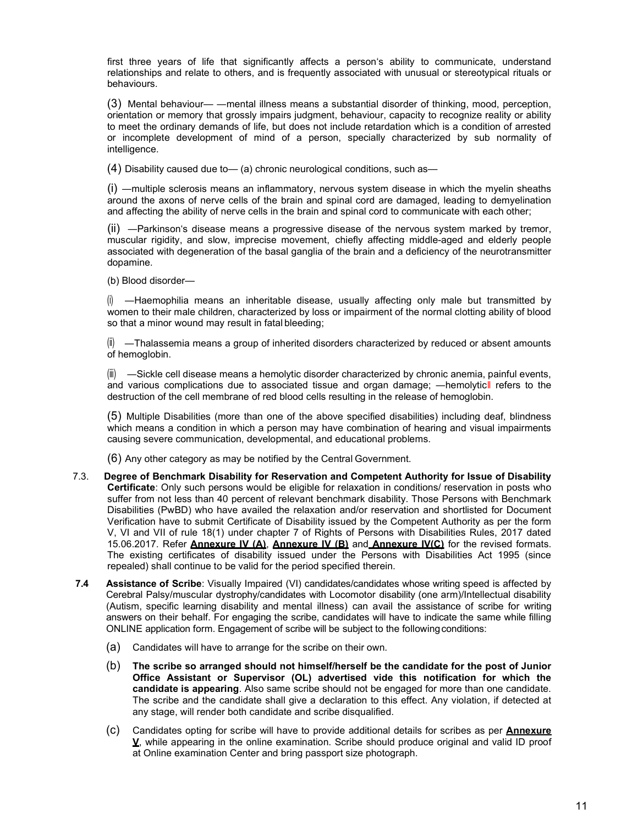first three years of life that significantly affects a person's ability to communicate, understand relationships and relate to others, and is frequently associated with unusual or stereotypical rituals or behaviours.

(3) Mental behaviour— ―mental illness means a substantial disorder of thinking, mood, perception, orientation or memory that grossly impairs judgment, behaviour, capacity to recognize reality or ability to meet the ordinary demands of life, but does not include retardation which is a condition of arrested or incomplete development of mind of a person, specially characterized by sub normality of intelligence.

 $(4)$  Disability caused due to  $-$  (a) chronic neurological conditions, such as  $-$ 

(i) ―multiple sclerosis means an inflammatory, nervous system disease in which the myelin sheaths around the axons of nerve cells of the brain and spinal cord are damaged, leading to demyelination and affecting the ability of nerve cells in the brain and spinal cord to communicate with each other;

(ii) ―Parkinson's disease means a progressive disease of the nervous system marked by tremor, muscular rigidity, and slow, imprecise movement, chiefly affecting middle-aged and elderly people associated with degeneration of the basal ganglia of the brain and a deficiency of the neurotransmitter dopamine.

(b) Blood disorder—

(i) ―Haemophilia means an inheritable disease, usually affecting only male but transmitted by women to their male children, characterized by loss or impairment of the normal clotting ability of blood so that a minor wound may result in fatal bleeding;

 $(i)$  —Thalassemia means a group of inherited disorders characterized by reduced or absent amounts of hemoglobin.

 $\langle \ddot{\mathbf{w}} \rangle$  —Sickle cell disease means a hemolytic disorder characterized by chronic anemia, painful events, and various complications due to associated tissue and organ damage; —hemolyticll refers to the destruction of the cell membrane of red blood cells resulting in the release of hemoglobin.

(5) Multiple Disabilities (more than one of the above specified disabilities) including deaf, blindness which means a condition in which a person may have combination of hearing and visual impairments causing severe communication, developmental, and educational problems.

(6) Any other category as may be notified by the Central Government.

- 7.3. Degree of Benchmark Disability for Reservation and Competent Authority for Issue of Disability Certificate: Only such persons would be eligible for relaxation in conditions/ reservation in posts who suffer from not less than 40 percent of relevant benchmark disability. Those Persons with Benchmark Disabilities (PwBD) who have availed the relaxation and/or reservation and shortlisted for Document Verification have to submit Certificate of Disability issued by the Competent Authority as per the form V, VI and VII of rule 18(1) under chapter 7 of Rights of Persons with Disabilities Rules, 2017 dated 15.06.2017. Refer **Annexure IV (A), Annexure IV (B)** and **Annexure IV(C)** for the revised formats. The existing certificates of disability issued under the Persons with Disabilities Act 1995 (since repealed) shall continue to be valid for the period specified therein.
- 7.4 Assistance of Scribe: Visually Impaired (VI) candidates/candidates whose writing speed is affected by Cerebral Palsy/muscular dystrophy/candidates with Locomotor disability (one arm)/Intellectual disability (Autism, specific learning disability and mental illness) can avail the assistance of scribe for writing answers on their behalf. For engaging the scribe, candidates will have to indicate the same while filling ONLINE application form. Engagement of scribe will be subject to the following conditions:
	- (a) Candidates will have to arrange for the scribe on their own.
	- (b) The scribe so arranged should not himself/herself be the candidate for the post of Junior Office Assistant or Supervisor (OL) advertised vide this notification for which the candidate is appearing. Also same scribe should not be engaged for more than one candidate. The scribe and the candidate shall give a declaration to this effect. Any violation, if detected at any stage, will render both candidate and scribe disqualified.
	- (c) Candidates opting for scribe will have to provide additional details for scribes as per **Annexure** V, while appearing in the online examination. Scribe should produce original and valid ID proof at Online examination Center and bring passport size photograph.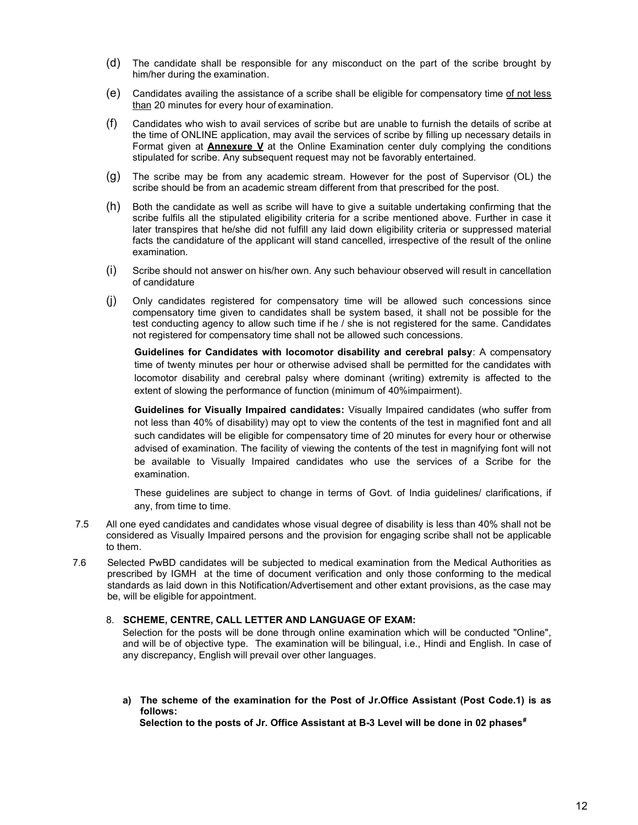- (d) The candidate shall be responsible for any misconduct on the part of the scribe brought by him/her during the examination.
- (e) Candidates availing the assistance of a scribe shall be eligible for compensatory time of not less than 20 minutes for every hour of examination.
- (f) Candidates who wish to avail services of scribe but are unable to furnish the details of scribe at the time of ONLINE application, may avail the services of scribe by filling up necessary details in Format given at **Annexure V** at the Online Examination center duly complying the conditions stipulated for scribe. Any subsequent request may not be favorably entertained.
- (g) The scribe may be from any academic stream. However for the post of Supervisor (OL) the scribe should be from an academic stream different from that prescribed for the post.
- (h) Both the candidate as well as scribe will have to give a suitable undertaking confirming that the scribe fulfils all the stipulated eligibility criteria for a scribe mentioned above. Further in case it later transpires that he/she did not fulfill any laid down eligibility criteria or suppressed material facts the candidature of the applicant will stand cancelled, irrespective of the result of the online examination.
- (i) Scribe should not answer on his/her own. Any such behaviour observed will result in cancellation of candidature
- (j) Only candidates registered for compensatory time will be allowed such concessions since compensatory time given to candidates shall be system based, it shall not be possible for the test conducting agency to allow such time if he / she is not registered for the same. Candidates not registered for compensatory time shall not be allowed such concessions.

Guidelines for Candidates with locomotor disability and cerebral palsy: A compensatory time of twenty minutes per hour or otherwise advised shall be permitted for the candidates with locomotor disability and cerebral palsy where dominant (writing) extremity is affected to the extent of slowing the performance of function (minimum of 40%impairment).

Guidelines for Visually Impaired candidates: Visually Impaired candidates (who suffer from not less than 40% of disability) may opt to view the contents of the test in magnified font and all such candidates will be eligible for compensatory time of 20 minutes for every hour or otherwise advised of examination. The facility of viewing the contents of the test in magnifying font will not be available to Visually Impaired candidates who use the services of a Scribe for the examination.

These guidelines are subject to change in terms of Govt. of India guidelines/ clarifications, if any, from time to time.

- 7.5 All one eyed candidates and candidates whose visual degree of disability is less than 40% shall not be considered as Visually Impaired persons and the provision for engaging scribe shall not be applicable to them.
- 7.6 Selected PwBD candidates will be subjected to medical examination from the Medical Authorities as prescribed by IGMH at the time of document verification and only those conforming to the medical standards as laid down in this Notification/Advertisement and other extant provisions, as the case may be, will be eligible for appointment.

#### 8. SCHEME, CENTRE, CALL LETTER AND LANGUAGE OF EXAM:

Selection for the posts will be done through online examination which will be conducted "Online", and will be of objective type. The examination will be bilingual, i.e., Hindi and English. In case of any discrepancy, English will prevail over other languages.

a) The scheme of the examination for the Post of Jr.Office Assistant (Post Code.1) is as follows:

Selection to the posts of Jr. Office Assistant at B-3 Level will be done in 02 phases $*$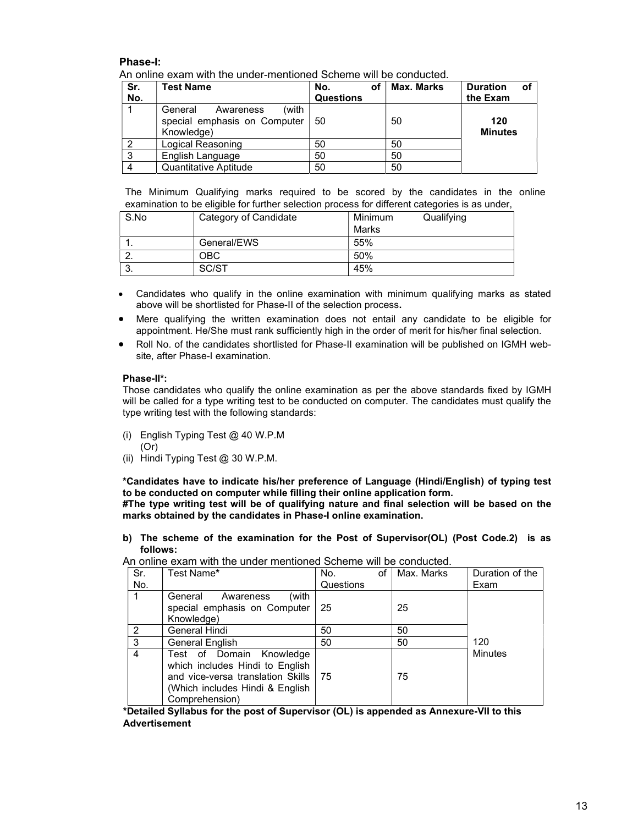#### Phase-I:

An online exam with the under-mentioned Scheme will be conducted.

| Sr.<br>No. | <b>Test Name</b>                                                            | οf<br>No.<br><b>Questions</b> | <b>Max. Marks</b> | <b>Duration</b><br>оf<br>the Exam |
|------------|-----------------------------------------------------------------------------|-------------------------------|-------------------|-----------------------------------|
|            | (with<br>General<br>Awareness<br>special emphasis on Computer<br>Knowledge) | 50                            | 50                | 120<br><b>Minutes</b>             |
| ົ          | Logical Reasoning                                                           | 50                            | 50                |                                   |
| 3          | English Language                                                            | 50                            | 50                |                                   |
| 4          | Quantitative Aptitude                                                       | 50                            | 50                |                                   |

The Minimum Qualifying marks required to be scored by the candidates in the online examination to be eligible for further selection process for different categories is as under,

| S.No      | Category of Candidate | Minimum<br>Qualifying |
|-----------|-----------------------|-----------------------|
|           |                       | Marks                 |
|           | General/EWS           | 55%                   |
|           | ОВС                   | 50%                   |
| ≏<br>. ပ. | SC/ST                 | 45%                   |

- Candidates who qualify in the online examination with minimum qualifying marks as stated above will be shortlisted for Phase-II of the selection process.
- Mere qualifying the written examination does not entail any candidate to be eligible for appointment. He/She must rank sufficiently high in the order of merit for his/her final selection.
- Roll No. of the candidates shortlisted for Phase-II examination will be published on IGMH website, after Phase-I examination.

#### Phase-II\*:

Those candidates who qualify the online examination as per the above standards fixed by IGMH will be called for a type writing test to be conducted on computer. The candidates must qualify the type writing test with the following standards:

- (i) English Typing Test @ 40 W.P.M (Or)
- (ii) Hindi Typing Test @ 30 W.P.M.

\*Candidates have to indicate his/her preference of Language (Hindi/English) of typing test to be conducted on computer while filling their online application form.

#The type writing test will be of qualifying nature and final selection will be based on the marks obtained by the candidates in Phase-I online examination.

b) The scheme of the examination for the Post of Supervisor(OL) (Post Code.2) is as follows:

| Sr.            | Test Name*                                                                                                                                            | of<br>No. | Max. Marks | Duration of the |
|----------------|-------------------------------------------------------------------------------------------------------------------------------------------------------|-----------|------------|-----------------|
| No.            |                                                                                                                                                       | Questions |            | Exam            |
|                | (with<br>General<br>Awareness<br>special emphasis on Computer<br>Knowledge)                                                                           | 25        | 25         |                 |
| $\mathfrak{p}$ | <b>General Hindi</b>                                                                                                                                  | 50        | 50         |                 |
| 3              | <b>General English</b>                                                                                                                                | 50        | 50         | 120             |
| 4              | Test of Domain Knowledge<br>which includes Hindi to English<br>and vice-versa translation Skills<br>(Which includes Hindi & English<br>Comprehension) | -75       | 75         | <b>Minutes</b>  |

An online exam with the under mentioned Scheme will be conducted.

\*Detailed Syllabus for the post of Supervisor (OL) is appended as Annexure-VII to this Advertisement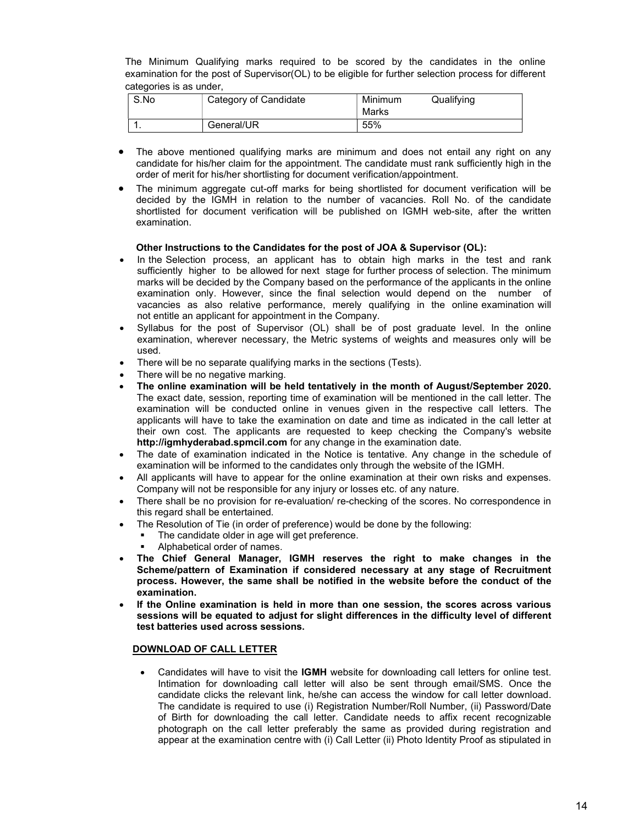The Minimum Qualifying marks required to be scored by the candidates in the online examination for the post of Supervisor(OL) to be eligible for further selection process for different categories is as under,

| S.No | Category of Candidate | Minimum<br>Marks | Qualifying |
|------|-----------------------|------------------|------------|
|      | General/UR            | 55%              |            |

- The above mentioned qualifying marks are minimum and does not entail any right on any candidate for his/her claim for the appointment. The candidate must rank sufficiently high in the order of merit for his/her shortlisting for document verification/appointment.
- The minimum aggregate cut-off marks for being shortlisted for document verification will be decided by the IGMH in relation to the number of vacancies. Roll No. of the candidate shortlisted for document verification will be published on IGMH web-site, after the written examination.

#### Other Instructions to the Candidates for the post of JOA & Supervisor (OL):

- In the Selection process, an applicant has to obtain high marks in the test and rank sufficiently higher to be allowed for next stage for further process of selection. The minimum marks will be decided by the Company based on the performance of the applicants in the online examination only. However, since the final selection would depend on the number of vacancies as also relative performance, merely qualifying in the online examination will not entitle an applicant for appointment in the Company.
- Syllabus for the post of Supervisor (OL) shall be of post graduate level. In the online examination, wherever necessary, the Metric systems of weights and measures only will be used.
- There will be no separate qualifying marks in the sections (Tests).
- There will be no negative marking.
- The online examination will be held tentatively in the month of August/September 2020. The exact date, session, reporting time of examination will be mentioned in the call letter. The examination will be conducted online in venues given in the respective call letters. The applicants will have to take the examination on date and time as indicated in the call letter at their own cost. The applicants are requested to keep checking the Company's website http://igmhyderabad.spmcil.com for any change in the examination date.
- The date of examination indicated in the Notice is tentative. Any change in the schedule of examination will be informed to the candidates only through the website of the IGMH.
- All applicants will have to appear for the online examination at their own risks and expenses. Company will not be responsible for any injury or losses etc. of any nature.
- There shall be no provision for re-evaluation/ re-checking of the scores. No correspondence in this regard shall be entertained.
- The Resolution of Tie (in order of preference) would be done by the following:
	- The candidate older in age will get preference.
	- Alphabetical order of names.
- The Chief General Manager, IGMH reserves the right to make changes in the Scheme/pattern of Examination if considered necessary at any stage of Recruitment process. However, the same shall be notified in the website before the conduct of the examination.
- If the Online examination is held in more than one session, the scores across various sessions will be equated to adjust for slight differences in the difficulty level of different test batteries used across sessions.

#### DOWNLOAD OF CALL LETTER

 Candidates will have to visit the IGMH website for downloading call letters for online test. Intimation for downloading call letter will also be sent through email/SMS. Once the candidate clicks the relevant link, he/she can access the window for call letter download. The candidate is required to use (i) Registration Number/Roll Number, (ii) Password/Date of Birth for downloading the call letter. Candidate needs to affix recent recognizable photograph on the call letter preferably the same as provided during registration and appear at the examination centre with (i) Call Letter (ii) Photo Identity Proof as stipulated in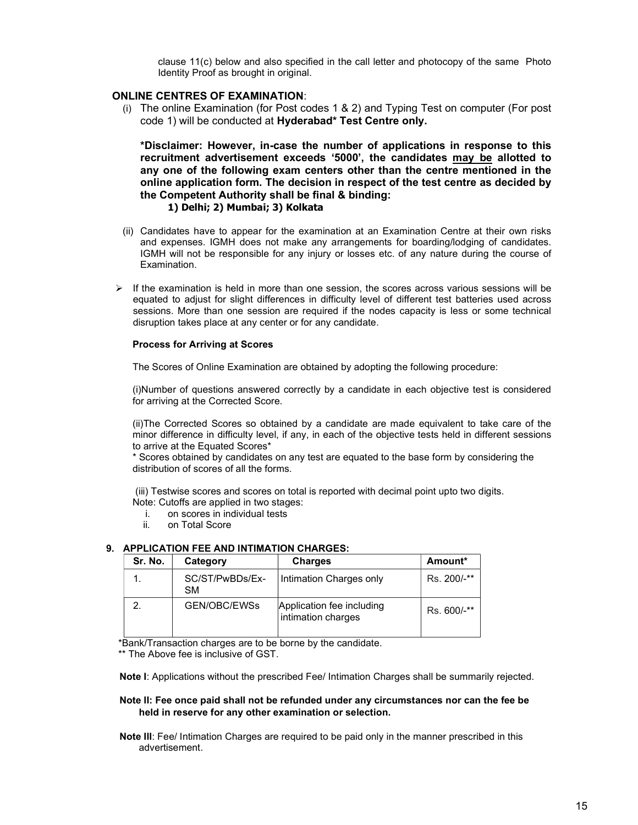clause 11(c) below and also specified in the call letter and photocopy of the same Photo Identity Proof as brought in original.

#### ONLINE CENTRES OF EXAMINATION:

(i) The online Examination (for Post codes 1 & 2) and Typing Test on computer (For post code 1) will be conducted at Hyderabad\* Test Centre only.

\*Disclaimer: However, in-case the number of applications in response to this recruitment advertisement exceeds '5000', the candidates may be allotted to any one of the following exam centers other than the centre mentioned in the online application form. The decision in respect of the test centre as decided by the Competent Authority shall be final & binding: 1) Delhi; 2) Mumbai; 3) Kolkata

- (ii) Candidates have to appear for the examination at an Examination Centre at their own risks and expenses. IGMH does not make any arrangements for boarding/lodging of candidates. IGMH will not be responsible for any injury or losses etc. of any nature during the course of Examination.
- $\triangleright$  If the examination is held in more than one session, the scores across various sessions will be equated to adjust for slight differences in difficulty level of different test batteries used across sessions. More than one session are required if the nodes capacity is less or some technical disruption takes place at any center or for any candidate.

#### Process for Arriving at Scores

The Scores of Online Examination are obtained by adopting the following procedure:

(i)Number of questions answered correctly by a candidate in each objective test is considered for arriving at the Corrected Score.

(ii)The Corrected Scores so obtained by a candidate are made equivalent to take care of the minor difference in difficulty level, if any, in each of the objective tests held in different sessions to arrive at the Equated Scores\*

\* Scores obtained by candidates on any test are equated to the base form by considering the distribution of scores of all the forms.

 (iii) Testwise scores and scores on total is reported with decimal point upto two digits. Note: Cutoffs are applied in two stages:

- i. on scores in individual tests
- ii. on Total Score

#### 9. APPLICATION FEE AND INTIMATION CHARGES:

| Sr. No. | Category                     | <b>Charges</b>                                  | Amount*     |
|---------|------------------------------|-------------------------------------------------|-------------|
|         | SC/ST/PwBDs/Ex-<br><b>SM</b> | Intimation Charges only                         | Rs. 200/-** |
|         | GEN/OBC/EWSs                 | Application fee including<br>intimation charges | Rs. 600/-** |

\*Bank/Transaction charges are to be borne by the candidate.

\*\* The Above fee is inclusive of GST.

Note I: Applications without the prescribed Fee/ Intimation Charges shall be summarily rejected.

#### Note II: Fee once paid shall not be refunded under any circumstances nor can the fee be held in reserve for any other examination or selection.

Note Ill: Fee/ Intimation Charges are required to be paid only in the manner prescribed in this advertisement.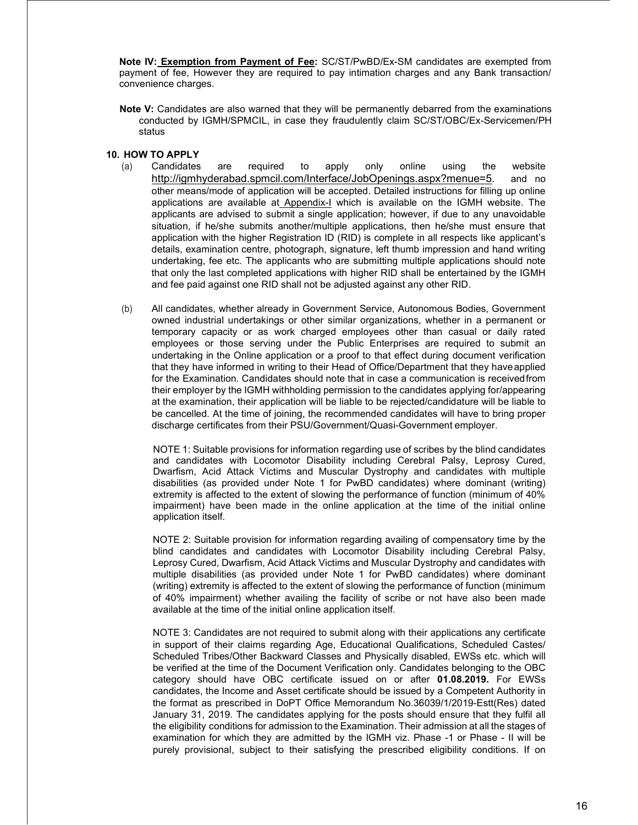Note IV: Exemption from Payment of Fee: SC/ST/PwBD/Ex-SM candidates are exempted from payment of fee, However they are required to pay intimation charges and any Bank transaction/ convenience charges.

Note V: Candidates are also warned that they will be permanently debarred from the examinations conducted by IGMH/SPMCIL, in case they fraudulently claim SC/ST/OBC/Ex-Servicemen/PH status

#### 10. HOW TO APPLY

- (a) Candidates are required to apply only online using the website http://igmhyderabad.spmcil.com/Interface/JobOpenings.aspx?menue=5. and no other means/mode of application will be accepted. Detailed instructions for filling up online applications are available at Appendix-I which is available on the IGMH website. The applicants are advised to submit a single application; however, if due to any unavoidable situation, if he/she submits another/multiple applications, then he/she must ensure that application with the higher Registration ID (RID) is complete in all respects like applicant's details, examination centre, photograph, signature, left thumb impression and hand writing undertaking, fee etc. The applicants who are submitting multiple applications should note that only the last completed applications with higher RID shall be entertained by the IGMH and fee paid against one RID shall not be adjusted against any other RID.
- (b) All candidates, whether already in Government Service, Autonomous Bodies, Government owned industrial undertakings or other similar organizations, whether in a permanent or temporary capacity or as work charged employees other than casual or daily rated employees or those serving under the Public Enterprises are required to submit an undertaking in the Online application or a proof to that effect during document verification that they have informed in writing to their Head of Office/Department that they have applied for the Examination. Candidates should note that in case a communication is received from their employer by the IGMH withholding permission to the candidates applying for/appearing at the examination, their application will be liable to be rejected/candidature will be liable to be cancelled. At the time of joining, the recommended candidates will have to bring proper discharge certificates from their PSU/Government/Quasi-Government employer.

NOTE 1: Suitable provisions for information regarding use of scribes by the blind candidates and candidates with Locomotor Disability including Cerebral Palsy, Leprosy Cured, Dwarfism, Acid Attack Victims and Muscular Dystrophy and candidates with multiple disabilities (as provided under Note 1 for PwBD candidates) where dominant (writing) extremity is affected to the extent of slowing the performance of function (minimum of 40% impairment) have been made in the online application at the time of the initial online application itself.

NOTE 2: Suitable provision for information regarding availing of compensatory time by the blind candidates and candidates with Locomotor Disability including Cerebral Palsy, Leprosy Cured, Dwarfism, Acid Attack Victims and Muscular Dystrophy and candidates with multiple disabilities (as provided under Note 1 for PwBD candidates) where dominant (writing) extremity is affected to the extent of slowing the performance of function (minimum of 40% impairment) whether availing the facility of scribe or not have also been made available at the time of the initial online application itself.

NOTE 3: Candidates are not required to submit along with their applications any certificate in support of their claims regarding Age, Educational Qualifications, Scheduled Castes/ Scheduled Tribes/Other Backward Classes and Physically disabled, EWSs etc. which will be verified at the time of the Document Verification only. Candidates belonging to the OBC category should have OBC certificate issued on or after 01.08.2019. For EWSs candidates, the Income and Asset certificate should be issued by a Competent Authority in the format as prescribed in DoPT Office Memorandum No.36039/1/2019-Estt(Res) dated January 31, 2019. The candidates applying for the posts should ensure that they fulfil all the eligibility conditions for admission to the Examination. Their admission at all the stages of examination for which they are admitted by the IGMH viz. Phase -1 or Phase - II will be purely provisional, subject to their satisfying the prescribed eligibility conditions. If on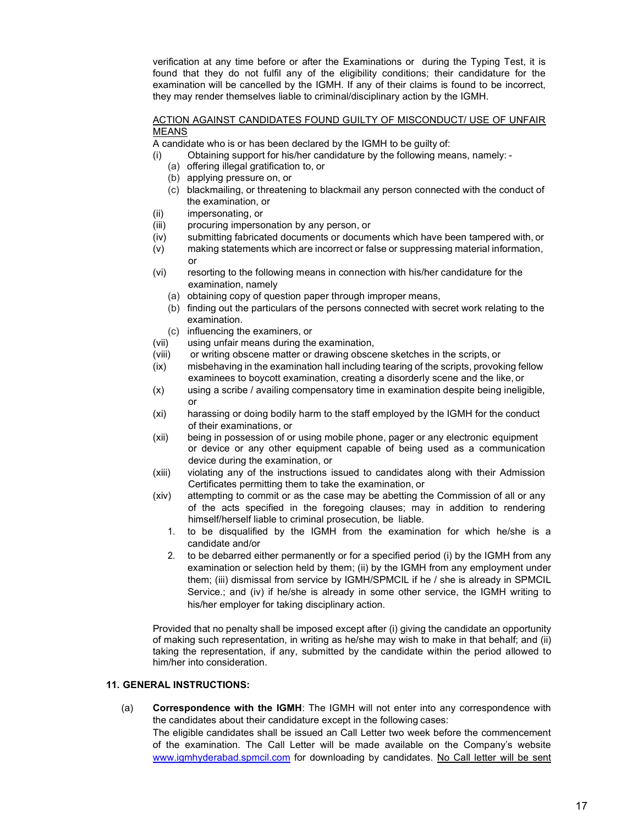verification at any time before or after the Examinations or during the Typing Test, it is found that they do not fulfil any of the eligibility conditions; their candidature for the examination will be cancelled by the IGMH. If any of their claims is found to be incorrect, they may render themselves liable to criminal/disciplinary action by the IGMH.

#### ACTION AGAINST CANDIDATES FOUND GUILTY OF MISCONDUCT/ USE OF UNFAIR MEANS

A candidate who is or has been declared by the IGMH to be guilty of:

- (i) Obtaining support for his/her candidature by the following means, namely:
	- (a) offering illegal gratification to, or
	- (b) applying pressure on, or
	- (c) blackmailing, or threatening to blackmail any person connected with the conduct of the examination, or
- (ii) impersonating, or
- (iii) procuring impersonation by any person, or
- (iv) submitting fabricated documents or documents which have been tampered with, or
- (v) making statements which are incorrect or false or suppressing material information, or
- (vi) resorting to the following means in connection with his/her candidature for the examination, namely
	- (a) obtaining copy of question paper through improper means,
	- (b) finding out the particulars of the persons connected with secret work relating to the examination.
	- (c) influencing the examiners, or
- (vii) using unfair means during the examination,
- (viii) or writing obscene matter or drawing obscene sketches in the scripts, or
- (ix) misbehaving in the examination hall including tearing of the scripts, provoking fellow examinees to boycott examination, creating a disorderly scene and the like, or
- (x) using a scribe / availing compensatory time in examination despite being ineligible, or
- (xi) harassing or doing bodily harm to the staff employed by the IGMH for the conduct of their examinations, or
- (xii) being in possession of or using mobile phone, pager or any electronic equipment or device or any other equipment capable of being used as a communication device during the examination, or
- (xiii) violating any of the instructions issued to candidates along with their Admission Certificates permitting them to take the examination, or
- (xiv) attempting to commit or as the case may be abetting the Commission of all or any of the acts specified in the foregoing clauses; may in addition to rendering himself/herself liable to criminal prosecution, be liable.
	- 1. to be disqualified by the IGMH from the examination for which he/she is a candidate and/or
	- 2. to be debarred either permanently or for a specified period (i) by the IGMH from any examination or selection held by them; (ii) by the IGMH from any employment under them; (iii) dismissal from service by IGMH/SPMCIL if he / she is already in SPMCIL Service.; and (iv) if he/she is already in some other service, the IGMH writing to his/her employer for taking disciplinary action.

Provided that no penalty shall be imposed except after (i) giving the candidate an opportunity of making such representation, in writing as he/she may wish to make in that behalf; and (ii) taking the representation, if any, submitted by the candidate within the period allowed to him/her into consideration.

#### 11. GENERAL INSTRUCTIONS:

(a) Correspondence with the IGMH: The IGMH will not enter into any correspondence with the candidates about their candidature except in the following cases:

The eligible candidates shall be issued an Call Letter two week before the commencement of the examination. The Call Letter will be made available on the Company's website www.igmhyderabad.spmcil.com for downloading by candidates. No Call letter will be sent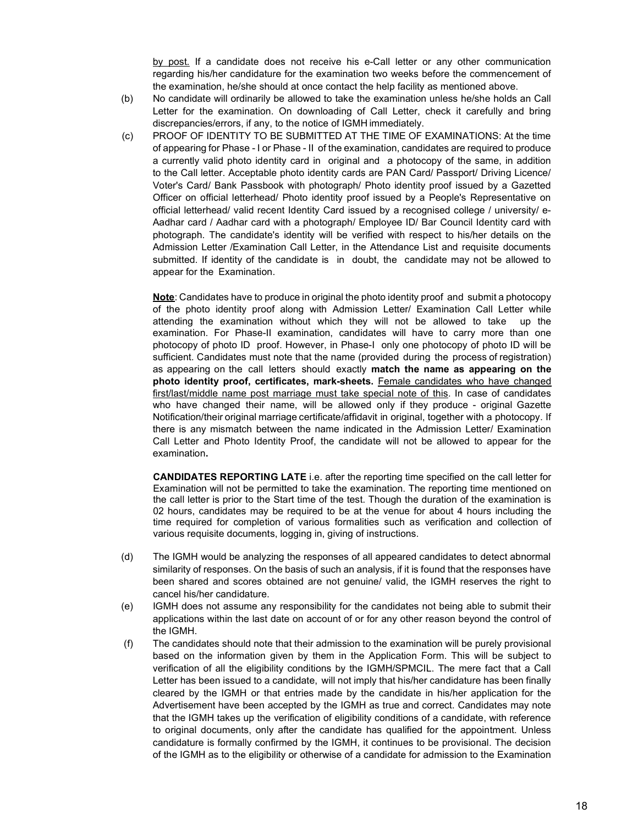by post. If a candidate does not receive his e-Call letter or any other communication regarding his/her candidature for the examination two weeks before the commencement of the examination, he/she should at once contact the help facility as mentioned above.

- (b) No candidate will ordinarily be allowed to take the examination unless he/she holds an Call Letter for the examination. On downloading of Call Letter, check it carefully and bring discrepancies/errors, if any, to the notice of IGMH immediately.
- (c) PROOF OF IDENTITY TO BE SUBMITTED AT THE TIME OF EXAMINATIONS: At the time of appearing for Phase - I or Phase - II of the examination, candidates are required to produce a currently valid photo identity card in original and a photocopy of the same, in addition to the Call letter. Acceptable photo identity cards are PAN Card/ Passport/ Driving Licence/ Voter's Card/ Bank Passbook with photograph/ Photo identity proof issued by a Gazetted Officer on official letterhead/ Photo identity proof issued by a People's Representative on official letterhead/ valid recent Identity Card issued by a recognised college / university/ e-Aadhar card / Aadhar card with a photograph/ Employee ID/ Bar Council Identity card with photograph. The candidate's identity will be verified with respect to his/her details on the Admission Letter /Examination Call Letter, in the Attendance List and requisite documents submitted. If identity of the candidate is in doubt, the candidate may not be allowed to appear for the Examination.

Note: Candidates have to produce in original the photo identity proof and submit a photocopy of the photo identity proof along with Admission Letter/ Examination Call Letter while attending the examination without which they will not be allowed to take up the examination. For Phase-II examination, candidates will have to carry more than one photocopy of photo ID proof. However, in Phase-I only one photocopy of photo ID will be sufficient. Candidates must note that the name (provided during the process of registration) as appearing on the call letters should exactly match the name as appearing on the photo identity proof, certificates, mark-sheets. Female candidates who have changed first/last/middle name post marriage must take special note of this. In case of candidates who have changed their name, will be allowed only if they produce - original Gazette Notification/their original marriage certificate/affidavit in original, together with a photocopy. If there is any mismatch between the name indicated in the Admission Letter/ Examination Call Letter and Photo Identity Proof, the candidate will not be allowed to appear for the examination.

CANDIDATES REPORTING LATE i.e. after the reporting time specified on the call letter for Examination will not be permitted to take the examination. The reporting time mentioned on the call letter is prior to the Start time of the test. Though the duration of the examination is 02 hours, candidates may be required to be at the venue for about 4 hours including the time required for completion of various formalities such as verification and collection of various requisite documents, logging in, giving of instructions.

- (d) The IGMH would be analyzing the responses of all appeared candidates to detect abnormal similarity of responses. On the basis of such an analysis, if it is found that the responses have been shared and scores obtained are not genuine/ valid, the IGMH reserves the right to cancel his/her candidature.
- (e) IGMH does not assume any responsibility for the candidates not being able to submit their applications within the last date on account of or for any other reason beyond the control of the IGMH.
- (f) The candidates should note that their admission to the examination will be purely provisional based on the information given by them in the Application Form. This will be subject to verification of all the eligibility conditions by the IGMH/SPMCIL. The mere fact that a Call Letter has been issued to a candidate, will not imply that his/her candidature has been finally cleared by the IGMH or that entries made by the candidate in his/her application for the Advertisement have been accepted by the IGMH as true and correct. Candidates may note that the IGMH takes up the verification of eligibility conditions of a candidate, with reference to original documents, only after the candidate has qualified for the appointment. Unless candidature is formally confirmed by the IGMH, it continues to be provisional. The decision of the IGMH as to the eligibility or otherwise of a candidate for admission to the Examination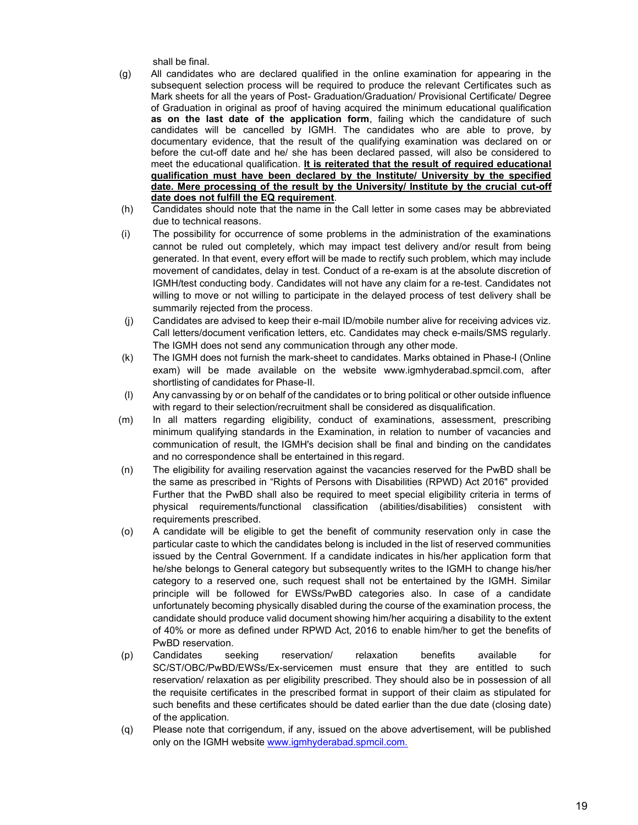shall be final.

- (g) All candidates who are declared qualified in the online examination for appearing in the subsequent selection process will be required to produce the relevant Certificates such as Mark sheets for all the years of Post- Graduation/Graduation/ Provisional Certificate/ Degree of Graduation in original as proof of having acquired the minimum educational qualification as on the last date of the application form, failing which the candidature of such candidates will be cancelled by IGMH. The candidates who are able to prove, by documentary evidence, that the result of the qualifying examination was declared on or before the cut-off date and he/ she has been declared passed, will also be considered to meet the educational qualification. It is reiterated that the result of required educational qualification must have been declared by the Institute/ University by the specified date. Mere processing of the result by the University/ Institute by the crucial cut-off date does not fulfill the EQ requirement.
- (h) Candidates should note that the name in the Call letter in some cases may be abbreviated due to technical reasons.
- (i) The possibility for occurrence of some problems in the administration of the examinations cannot be ruled out completely, which may impact test delivery and/or result from being generated. In that event, every effort will be made to rectify such problem, which may include movement of candidates, delay in test. Conduct of a re-exam is at the absolute discretion of IGMH/test conducting body. Candidates will not have any claim for a re-test. Candidates not willing to move or not willing to participate in the delayed process of test delivery shall be summarily rejected from the process.
- (j) Candidates are advised to keep their e-mail ID/mobile number alive for receiving advices viz. Call letters/document verification letters, etc. Candidates may check e-mails/SMS regularly. The IGMH does not send any communication through any other mode.
- (k) The IGMH does not furnish the mark-sheet to candidates. Marks obtained in Phase-I (Online exam) will be made available on the website www.igmhyderabad.spmcil.com, after shortlisting of candidates for Phase-II.
- (l) Any canvassing by or on behalf of the candidates or to bring political or other outside influence with regard to their selection/recruitment shall be considered as disqualification.
- (m) In all matters regarding eligibility, conduct of examinations, assessment, prescribing minimum qualifying standards in the Examination, in relation to number of vacancies and communication of result, the IGMH's decision shall be final and binding on the candidates and no correspondence shall be entertained in this regard.
- (n) The eligibility for availing reservation against the vacancies reserved for the PwBD shall be the same as prescribed in "Rights of Persons with Disabilities (RPWD) Act 2016" provided Further that the PwBD shall also be required to meet special eligibility criteria in terms of physical requirements/functional classification (abilities/disabilities) consistent with requirements prescribed.
- (o) A candidate will be eligible to get the benefit of community reservation only in case the particular caste to which the candidates belong is included in the list of reserved communities issued by the Central Government. If a candidate indicates in his/her application form that he/she belongs to General category but subsequently writes to the IGMH to change his/her category to a reserved one, such request shall not be entertained by the IGMH. Similar principle will be followed for EWSs/PwBD categories also. In case of a candidate unfortunately becoming physically disabled during the course of the examination process, the candidate should produce valid document showing him/her acquiring a disability to the extent of 40% or more as defined under RPWD Act, 2016 to enable him/her to get the benefits of PwBD reservation.
- (p) Candidates seeking reservation/ relaxation benefits available for SC/ST/OBC/PwBD/EWSs/Ex-servicemen must ensure that they are entitled to such reservation/ relaxation as per eligibility prescribed. They should also be in possession of all the requisite certificates in the prescribed format in support of their claim as stipulated for such benefits and these certificates should be dated earlier than the due date (closing date) of the application.
- (q) Please note that corrigendum, if any, issued on the above advertisement, will be published only on the IGMH website www.igmhyderabad.spmcil.com.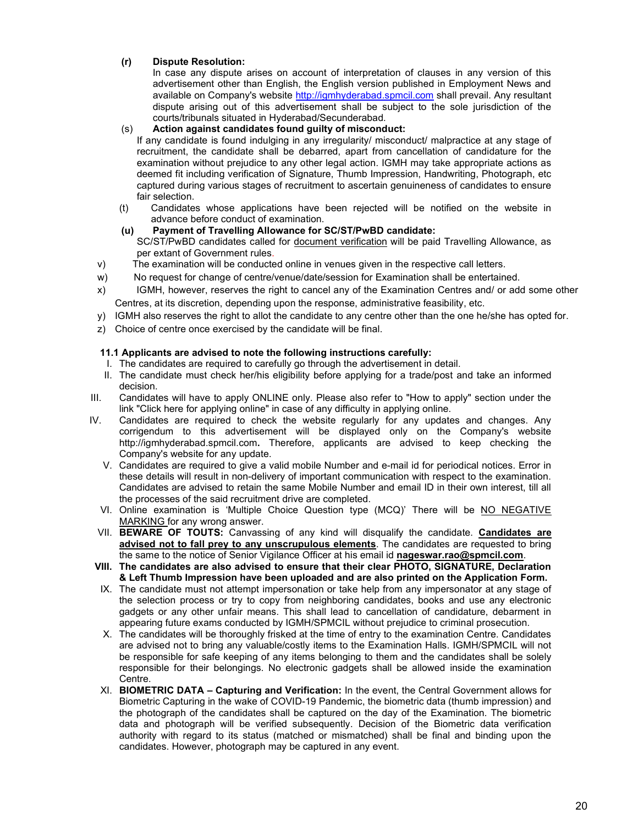#### (r) Dispute Resolution:

In case any dispute arises on account of interpretation of clauses in any version of this advertisement other than English, the English version published in Employment News and available on Company's website http://igmhyderabad.spmcil.com shall prevail. Any resultant dispute arising out of this advertisement shall be subject to the sole jurisdiction of the courts/tribunals situated in Hyderabad/Secunderabad.

#### (s) Action against candidates found guilty of misconduct:

 If any candidate is found indulging in any irregularity/ misconduct/ malpractice at any stage of recruitment, the candidate shall be debarred, apart from cancellation of candidature for the examination without prejudice to any other legal action. IGMH may take appropriate actions as deemed fit including verification of Signature, Thumb Impression, Handwriting, Photograph, etc captured during various stages of recruitment to ascertain genuineness of candidates to ensure fair selection.

(t) Candidates whose applications have been rejected will be notified on the website in advance before conduct of examination.

#### (u) Payment of Travelling Allowance for SC/ST/PwBD candidate:

SC/ST/PwBD candidates called for document verification will be paid Travelling Allowance, as per extant of Government rules.

- v) The examination will be conducted online in venues given in the respective call letters.
- w) No request for change of centre/venue/date/session for Examination shall be entertained.
- x) IGMH, however, reserves the right to cancel any of the Examination Centres and/ or add some other Centres, at its discretion, depending upon the response, administrative feasibility, etc.
- y) IGMH also reserves the right to allot the candidate to any centre other than the one he/she has opted for.
- z) Choice of centre once exercised by the candidate will be final.

#### 11.1 Applicants are advised to note the following instructions carefully:

- I. The candidates are required to carefully go through the advertisement in detail.
- II. The candidate must check her/his eligibility before applying for a trade/post and take an informed decision.
- III. Candidates will have to apply ONLINE only. Please also refer to "How to apply" section under the link "Click here for applying online" in case of any difficulty in applying online.
- IV. Candidates are required to check the website regularly for any updates and changes. Any corrigendum to this advertisement will be displayed only on the Company's website http://igmhyderabad.spmcil.com. Therefore, applicants are advised to keep checking the Company's website for any update.
	- V. Candidates are required to give a valid mobile Number and e-mail id for periodical notices. Error in these details will result in non-delivery of important communication with respect to the examination. Candidates are advised to retain the same Mobile Number and email ID in their own interest, till all the processes of the said recruitment drive are completed.
	- VI. Online examination is 'Multiple Choice Question type (MCQ)' There will be NO NEGATIVE MARKING for any wrong answer.
	- VII. BEWARE OF TOUTS: Canvassing of any kind will disqualify the candidate. Candidates are advised not to fall prey to any unscrupulous elements. The candidates are requested to bring the same to the notice of Senior Vigilance Officer at his email id nageswar.rao@spmcil.com.
- VIII. The candidates are also advised to ensure that their clear PHOTO, SIGNATURE, Declaration & Left Thumb Impression have been uploaded and are also printed on the Application Form.
- IX. The candidate must not attempt impersonation or take help from any impersonator at any stage of the selection process or try to copy from neighboring candidates, books and use any electronic gadgets or any other unfair means. This shall lead to cancellation of candidature, debarment in appearing future exams conducted by IGMH/SPMCIL without prejudice to criminal prosecution.
- X. The candidates will be thoroughly frisked at the time of entry to the examination Centre. Candidates are advised not to bring any valuable/costly items to the Examination Halls. IGMH/SPMCIL will not be responsible for safe keeping of any items belonging to them and the candidates shall be solely responsible for their belongings. No electronic gadgets shall be allowed inside the examination Centre.
- XI. **BIOMETRIC DATA Capturing and Verification:** In the event, the Central Government allows for Biometric Capturing in the wake of COVID-19 Pandemic, the biometric data (thumb impression) and the photograph of the candidates shall be captured on the day of the Examination. The biometric data and photograph will be verified subsequently. Decision of the Biometric data verification authority with regard to its status (matched or mismatched) shall be final and binding upon the candidates. However, photograph may be captured in any event.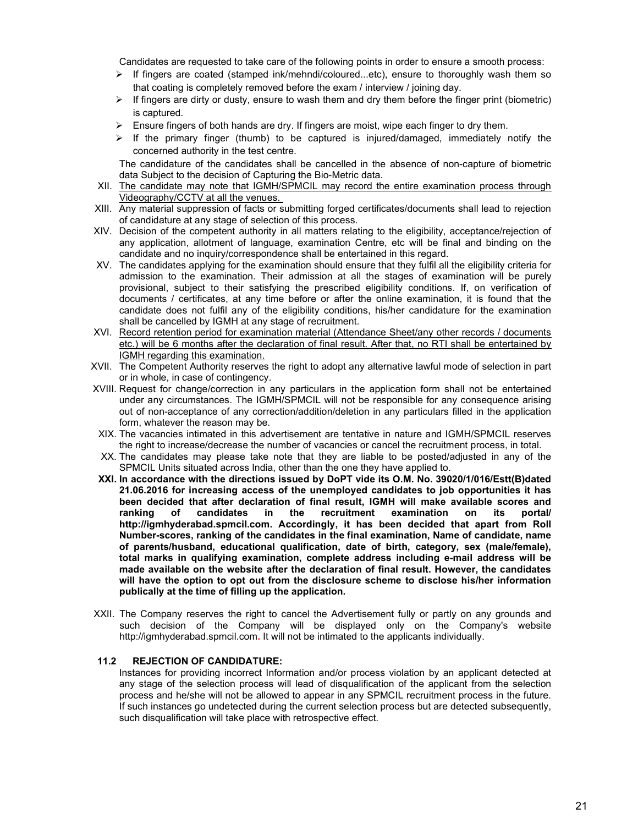Candidates are requested to take care of the following points in order to ensure a smooth process:

- $\triangleright$  If fingers are coated (stamped ink/mehndi/coloured...etc), ensure to thoroughly wash them so that coating is completely removed before the exam / interview / joining day.
- $\triangleright$  If fingers are dirty or dusty, ensure to wash them and dry them before the finger print (biometric) is captured.
- $\triangleright$  Ensure fingers of both hands are dry. If fingers are moist, wipe each finger to dry them.
- $\triangleright$  If the primary finger (thumb) to be captured is injured/damaged, immediately notify the concerned authority in the test centre.

The candidature of the candidates shall be cancelled in the absence of non-capture of biometric data Subject to the decision of Capturing the Bio-Metric data.

- XII. The candidate may note that IGMH/SPMCIL may record the entire examination process through Videography/CCTV at all the venues.
- XIII. Any material suppression of facts or submitting forged certificates/documents shall lead to rejection of candidature at any stage of selection of this process.
- XIV. Decision of the competent authority in all matters relating to the eligibility, acceptance/rejection of any application, allotment of language, examination Centre, etc will be final and binding on the candidate and no inquiry/correspondence shall be entertained in this regard.
- XV. The candidates applying for the examination should ensure that they fulfil all the eligibility criteria for admission to the examination. Their admission at all the stages of examination will be purely provisional, subject to their satisfying the prescribed eligibility conditions. If, on verification of documents / certificates, at any time before or after the online examination, it is found that the candidate does not fulfil any of the eligibility conditions, his/her candidature for the examination shall be cancelled by IGMH at any stage of recruitment.
- XVI. Record retention period for examination material (Attendance Sheet/any other records / documents etc.) will be 6 months after the declaration of final result. After that, no RTI shall be entertained by IGMH regarding this examination.
- XVII. The Competent Authority reserves the right to adopt any alternative lawful mode of selection in part or in whole, in case of contingency.
- XVIII. Request for change/correction in any particulars in the application form shall not be entertained under any circumstances. The IGMH/SPMCIL will not be responsible for any consequence arising out of non-acceptance of any correction/addition/deletion in any particulars filled in the application form, whatever the reason may be.
- XIX. The vacancies intimated in this advertisement are tentative in nature and IGMH/SPMCIL reserves the right to increase/decrease the number of vacancies or cancel the recruitment process, in total.
- XX. The candidates may please take note that they are liable to be posted/adjusted in any of the SPMCIL Units situated across India, other than the one they have applied to.
- XXI. In accordance with the directions issued by DoPT vide its O.M. No. 39020/1/016/Estt(B)dated 21.06.2016 for increasing access of the unemployed candidates to job opportunities it has been decided that after declaration of final result, IGMH will make available scores and ranking of candidates in the recruitment examination on its portal/ http://igmhyderabad.spmcil.com. Accordingly, it has been decided that apart from Roll Number-scores, ranking of the candidates in the final examination, Name of candidate, name of parents/husband, educational qualification, date of birth, category, sex (male/female), total marks in qualifying examination, complete address including e-mail address will be made available on the website after the declaration of final result. However, the candidates will have the option to opt out from the disclosure scheme to disclose his/her information publically at the time of filling up the application.
- XXII. The Company reserves the right to cancel the Advertisement fully or partly on any grounds and such decision of the Company will be displayed only on the Company's website http://igmhyderabad.spmcil.com. It will not be intimated to the applicants individually.

#### 11.2 REJECTION OF CANDIDATURE:

Instances for providing incorrect Information and/or process violation by an applicant detected at any stage of the selection process will lead of disqualification of the applicant from the selection process and he/she will not be allowed to appear in any SPMCIL recruitment process in the future. If such instances go undetected during the current selection process but are detected subsequently, such disqualification will take place with retrospective effect.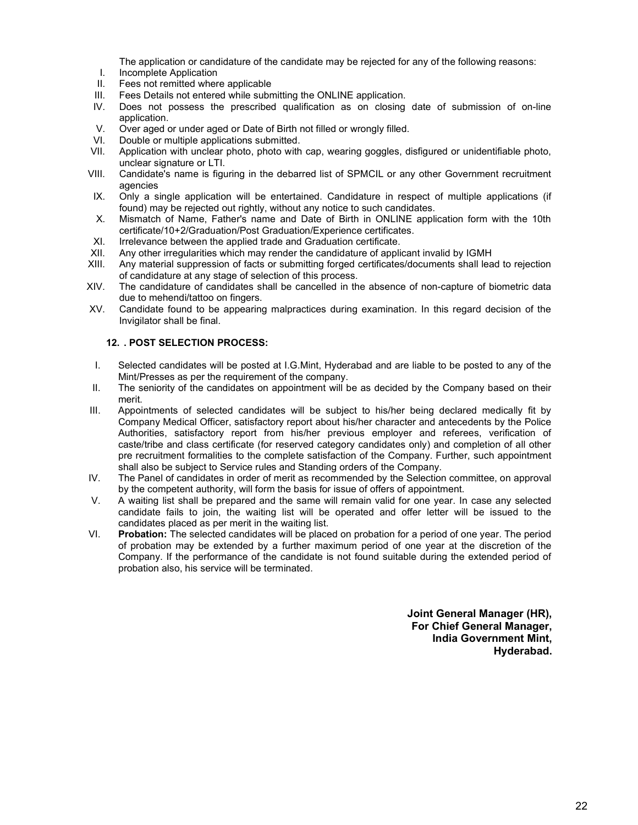The application or candidature of the candidate may be rejected for any of the following reasons:

- I. Incomplete Application
- II. Fees not remitted where applicable
- III. Fees Details not entered while submitting the ONLINE application.
- IV. Does not possess the prescribed qualification as on closing date of submission of on-line application.
- V. Over aged or under aged or Date of Birth not filled or wrongly filled.
- VI. Double or multiple applications submitted.
- VII. Application with unclear photo, photo with cap, wearing goggles, disfigured or unidentifiable photo, unclear signature or LTI.
- VIII. Candidate's name is figuring in the debarred list of SPMCIL or any other Government recruitment agencies
- IX. Only a single application will be entertained. Candidature in respect of multiple applications (if found) may be rejected out rightly, without any notice to such candidates.
- X. Mismatch of Name, Father's name and Date of Birth in ONLINE application form with the 10th certificate/10+2/Graduation/Post Graduation/Experience certificates.
- XI. Irrelevance between the applied trade and Graduation certificate.
- XII. Any other irregularities which may render the candidature of applicant invalid by IGMH
- XIII. Any material suppression of facts or submitting forged certificates/documents shall lead to rejection of candidature at any stage of selection of this process.
- XIV. The candidature of candidates shall be cancelled in the absence of non-capture of biometric data due to mehendi/tattoo on fingers.
- XV. Candidate found to be appearing malpractices during examination. In this regard decision of the Invigilator shall be final.

#### 12. . POST SELECTION PROCESS:

- I. Selected candidates will be posted at I.G.Mint, Hyderabad and are liable to be posted to any of the Mint/Presses as per the requirement of the company.
- II. The seniority of the candidates on appointment will be as decided by the Company based on their merit.
- III. Appointments of selected candidates will be subject to his/her being declared medically fit by Company Medical Officer, satisfactory report about his/her character and antecedents by the Police Authorities, satisfactory report from his/her previous employer and referees, verification of caste/tribe and class certificate (for reserved category candidates only) and completion of all other pre recruitment formalities to the complete satisfaction of the Company. Further, such appointment shall also be subject to Service rules and Standing orders of the Company.
- IV. The Panel of candidates in order of merit as recommended by the Selection committee, on approval by the competent authority, will form the basis for issue of offers of appointment.
- V. A waiting list shall be prepared and the same will remain valid for one year. In case any selected candidate fails to join, the waiting list will be operated and offer letter will be issued to the candidates placed as per merit in the waiting list.
- VI. Probation: The selected candidates will be placed on probation for a period of one year. The period of probation may be extended by a further maximum period of one year at the discretion of the Company. If the performance of the candidate is not found suitable during the extended period of probation also, his service will be terminated.

Joint General Manager (HR), For Chief General Manager, India Government Mint, Hyderabad.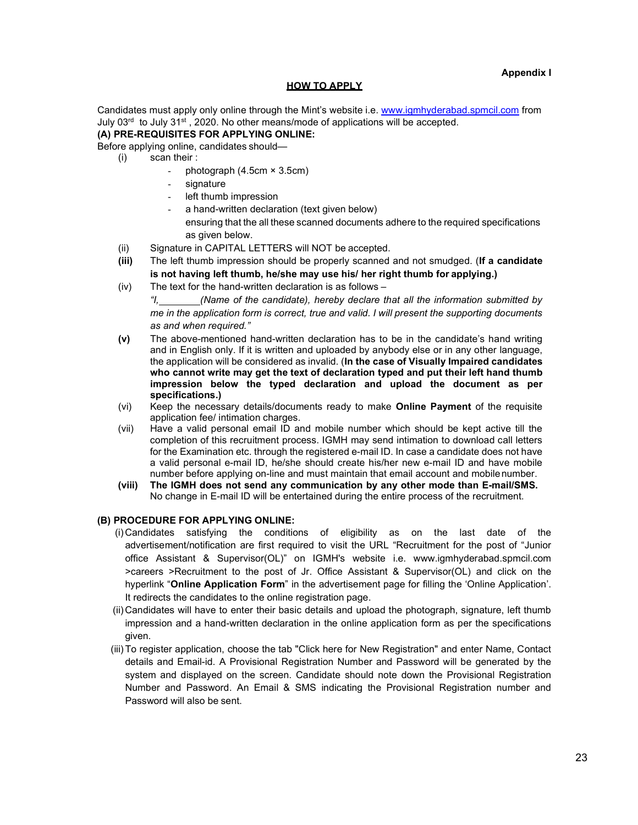#### **HOW TO APPLY**

Candidates must apply only online through the Mint's website i.e. www.igmhyderabad.spmcil.com from July  $03<sup>rd</sup>$  to July  $31<sup>st</sup>$ , 2020. No other means/mode of applications will be accepted.

#### (A) PRE-REQUISITES FOR APPLYING ONLINE:

Before applying online, candidates should—

- (i) scan their :
	- photograph  $(4.5cm \times 3.5cm)$
	- signature
	- left thumb impression
	- a hand-written declaration (text given below)
		- ensuring that the all these scanned documents adhere to the required specifications as given below.
- (ii) Signature in CAPITAL LETTERS will NOT be accepted.
- (iii) The left thumb impression should be properly scanned and not smudged. (If a candidate is not having left thumb, he/she may use his/ her right thumb for applying.)
- (iv) The text for the hand-written declaration is as follows
	- "I, (Name of the candidate), hereby declare that all the information submitted by me in the application form is correct, true and valid. I will present the supporting documents as and when required."
- (v) The above-mentioned hand-written declaration has to be in the candidate's hand writing and in English only. If it is written and uploaded by anybody else or in any other language, the application will be considered as invalid. (In the case of Visually Impaired candidates who cannot write may get the text of declaration typed and put their left hand thumb impression below the typed declaration and upload the document as per specifications.)
- (vi) Keep the necessary details/documents ready to make **Online Payment** of the requisite application fee/ intimation charges.
- (vii) Have a valid personal email ID and mobile number which should be kept active till the completion of this recruitment process. IGMH may send intimation to download call letters for the Examination etc. through the registered e-mail ID. In case a candidate does not have a valid personal e-mail ID, he/she should create his/her new e-mail ID and have mobile number before applying on-line and must maintain that email account and mobile number.
- (viii) The IGMH does not send any communication by any other mode than E-mail/SMS. No change in E-mail ID will be entertained during the entire process of the recruitment.

#### (B) PROCEDURE FOR APPLYING ONLINE:

- (i) Candidates satisfying the conditions of eligibility as on the last date of the advertisement/notification are first required to visit the URL "Recruitment for the post of "Junior office Assistant & Supervisor(OL)" on IGMH's website i.e. www.igmhyderabad.spmcil.com >careers >Recruitment to the post of Jr. Office Assistant & Supervisor(OL) and click on the hyperlink "Online Application Form" in the advertisement page for filling the 'Online Application'. It redirects the candidates to the online registration page.
- (ii) Candidates will have to enter their basic details and upload the photograph, signature, left thumb impression and a hand-written declaration in the online application form as per the specifications given.
- (iii) To register application, choose the tab "Click here for New Registration" and enter Name, Contact details and Email-id. A Provisional Registration Number and Password will be generated by the system and displayed on the screen. Candidate should note down the Provisional Registration Number and Password. An Email & SMS indicating the Provisional Registration number and Password will also be sent.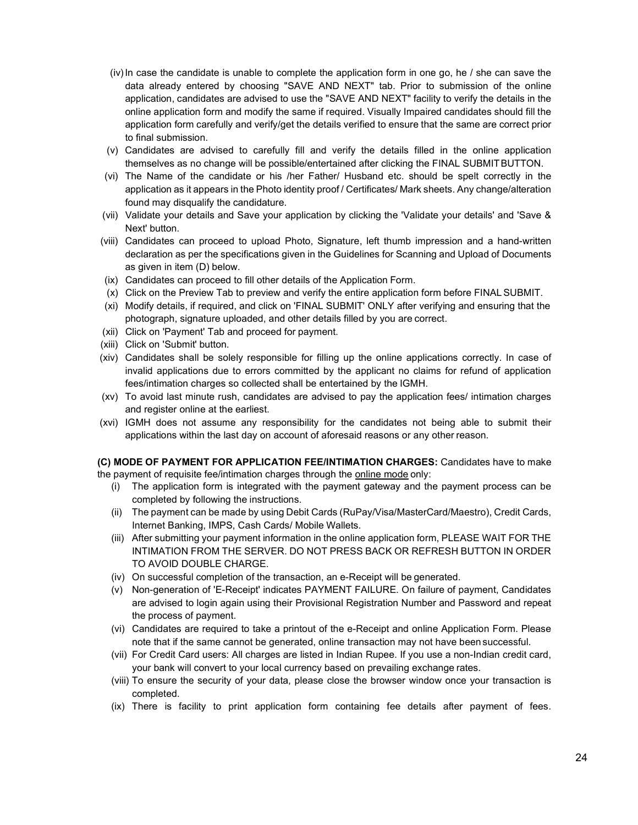- (iv) In case the candidate is unable to complete the application form in one go, he / she can save the data already entered by choosing "SAVE AND NEXT" tab. Prior to submission of the online application, candidates are advised to use the "SAVE AND NEXT" facility to verify the details in the online application form and modify the same if required. Visually Impaired candidates should fill the application form carefully and verify/get the details verified to ensure that the same are correct prior to final submission.
- (v) Candidates are advised to carefully fill and verify the details filled in the online application themselves as no change will be possible/entertained after clicking the FINAL SUBMIT BUTTON.
- (vi) The Name of the candidate or his /her Father/ Husband etc. should be spelt correctly in the application as it appears in the Photo identity proof / Certificates/ Mark sheets. Any change/alteration found may disqualify the candidature.
- (vii) Validate your details and Save your application by clicking the 'Validate your details' and 'Save & Next' button.
- (viii) Candidates can proceed to upload Photo, Signature, left thumb impression and a hand-written declaration as per the specifications given in the Guidelines for Scanning and Upload of Documents as given in item (D) below.
- (ix) Candidates can proceed to fill other details of the Application Form.
- (x) Click on the Preview Tab to preview and verify the entire application form before FINAL SUBMIT.
- (xi) Modify details, if required, and click on 'FINAL SUBMIT' ONLY after verifying and ensuring that the photograph, signature uploaded, and other details filled by you are correct.
- (xii) Click on 'Payment' Tab and proceed for payment.
- (xiii) Click on 'Submit' button.
- (xiv) Candidates shall be solely responsible for filling up the online applications correctly. In case of invalid applications due to errors committed by the applicant no claims for refund of application fees/intimation charges so collected shall be entertained by the IGMH.
- (xv) To avoid last minute rush, candidates are advised to pay the application fees/ intimation charges and register online at the earliest.
- (xvi) IGMH does not assume any responsibility for the candidates not being able to submit their applications within the last day on account of aforesaid reasons or any other reason.

(C) MODE OF PAYMENT FOR APPLICATION FEE/INTIMATION CHARGES: Candidates have to make the payment of requisite fee/intimation charges through the online mode only:

- (i) The application form is integrated with the payment gateway and the payment process can be completed by following the instructions.
- (ii) The payment can be made by using Debit Cards (RuPay/Visa/MasterCard/Maestro), Credit Cards, Internet Banking, IMPS, Cash Cards/ Mobile Wallets.
- (iii) After submitting your payment information in the online application form, PLEASE WAIT FOR THE INTIMATION FROM THE SERVER. DO NOT PRESS BACK OR REFRESH BUTTON IN ORDER TO AVOID DOUBLE CHARGE.
- (iv) On successful completion of the transaction, an e-Receipt will be generated.
- (v) Non-generation of 'E-Receipt' indicates PAYMENT FAILURE. On failure of payment, Candidates are advised to login again using their Provisional Registration Number and Password and repeat the process of payment.
- (vi) Candidates are required to take a printout of the e-Receipt and online Application Form. Please note that if the same cannot be generated, online transaction may not have been successful.
- (vii) For Credit Card users: All charges are listed in Indian Rupee. If you use a non-Indian credit card, your bank will convert to your local currency based on prevailing exchange rates.
- (viii) To ensure the security of your data, please close the browser window once your transaction is completed.
- (ix) There is facility to print application form containing fee details after payment of fees.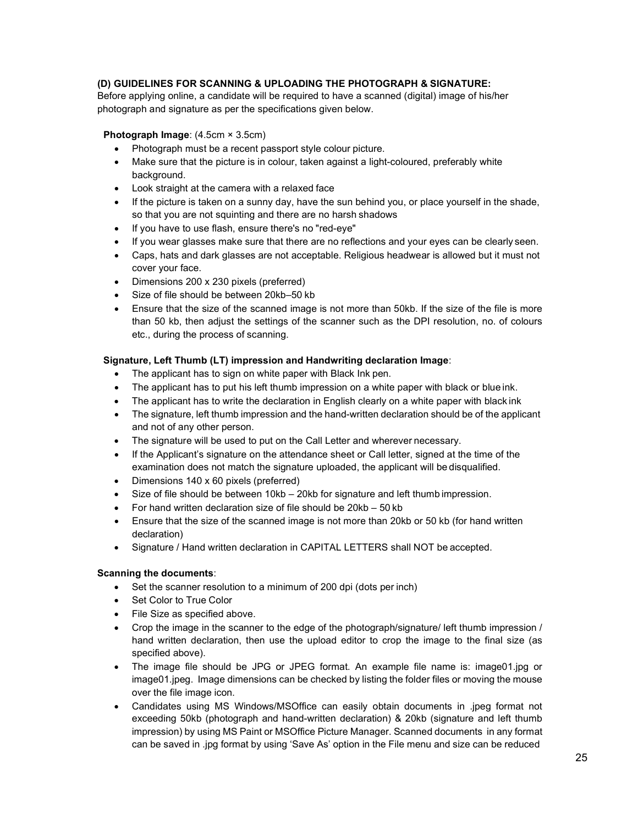#### (D) GUIDELINES FOR SCANNING & UPLOADING THE PHOTOGRAPH & SIGNATURE:

Before applying online, a candidate will be required to have a scanned (digital) image of his/her photograph and signature as per the specifications given below.

#### Photograph Image: (4.5cm × 3.5cm)

- Photograph must be a recent passport style colour picture.
- Make sure that the picture is in colour, taken against a light-coloured, preferably white background.
- Look straight at the camera with a relaxed face
- $\bullet$  If the picture is taken on a sunny day, have the sun behind you, or place yourself in the shade, so that you are not squinting and there are no harsh shadows
- If you have to use flash, ensure there's no "red-eye"
- If you wear glasses make sure that there are no reflections and your eyes can be clearly seen.
- Caps, hats and dark glasses are not acceptable. Religious headwear is allowed but it must not cover your face.
- Dimensions 200 x 230 pixels (preferred)
- Size of file should be between 20kb–50 kb
- Ensure that the size of the scanned image is not more than 50kb. If the size of the file is more than 50 kb, then adjust the settings of the scanner such as the DPI resolution, no. of colours etc., during the process of scanning.

#### Signature, Left Thumb (LT) impression and Handwriting declaration Image:

- The applicant has to sign on white paper with Black Ink pen.
- The applicant has to put his left thumb impression on a white paper with black or blue ink.
- The applicant has to write the declaration in English clearly on a white paper with black ink
- The signature, left thumb impression and the hand-written declaration should be of the applicant and not of any other person.
- The signature will be used to put on the Call Letter and wherever necessary.
- If the Applicant's signature on the attendance sheet or Call letter, signed at the time of the examination does not match the signature uploaded, the applicant will be disqualified.
- Dimensions 140 x 60 pixels (preferred)
- Size of file should be between 10kb 20kb for signature and left thumb impression.
- For hand written declaration size of file should be 20kb 50 kb
- Ensure that the size of the scanned image is not more than 20kb or 50 kb (for hand written declaration)
- Signature / Hand written declaration in CAPITAL LETTERS shall NOT be accepted.

#### Scanning the documents:

- Set the scanner resolution to a minimum of 200 dpi (dots per inch)
- Set Color to True Color
- File Size as specified above.
- Crop the image in the scanner to the edge of the photograph/signature/ left thumb impression / hand written declaration, then use the upload editor to crop the image to the final size (as specified above).
- The image file should be JPG or JPEG format. An example file name is: image01.jpg or image01.jpeg. Image dimensions can be checked by listing the folder files or moving the mouse over the file image icon.
- Candidates using MS Windows/MSOffice can easily obtain documents in .jpeg format not exceeding 50kb (photograph and hand-written declaration) & 20kb (signature and left thumb impression) by using MS Paint or MSOffice Picture Manager. Scanned documents in any format can be saved in .jpg format by using 'Save As' option in the File menu and size can be reduced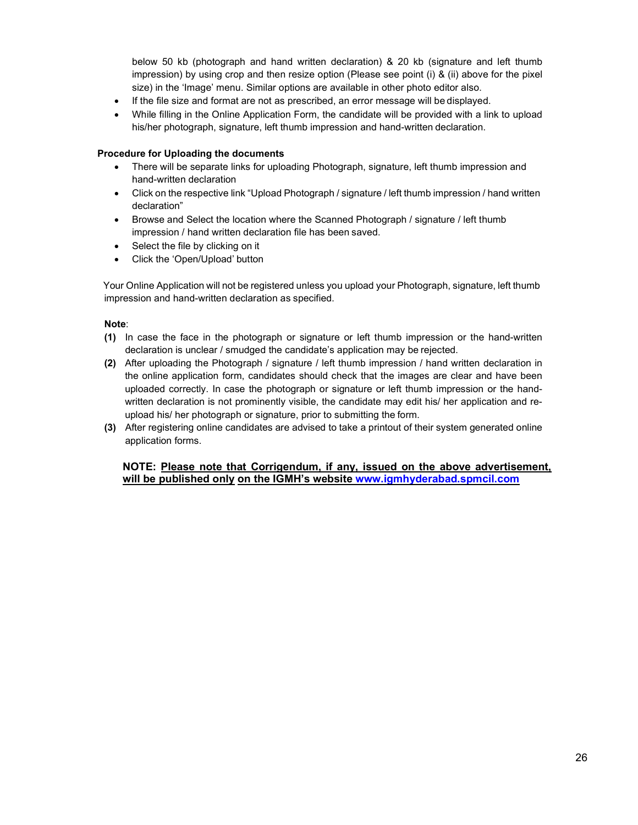below 50 kb (photograph and hand written declaration) & 20 kb (signature and left thumb impression) by using crop and then resize option (Please see point (i) & (ii) above for the pixel size) in the 'Image' menu. Similar options are available in other photo editor also.

- If the file size and format are not as prescribed, an error message will be displayed.
- While filling in the Online Application Form, the candidate will be provided with a link to upload his/her photograph, signature, left thumb impression and hand-written declaration.

#### Procedure for Uploading the documents

- There will be separate links for uploading Photograph, signature, left thumb impression and hand-written declaration
- Click on the respective link "Upload Photograph / signature / left thumb impression / hand written declaration"
- Browse and Select the location where the Scanned Photograph / signature / left thumb impression / hand written declaration file has been saved.
- Select the file by clicking on it
- Click the 'Open/Upload' button

Your Online Application will not be registered unless you upload your Photograph, signature, left thumb impression and hand-written declaration as specified.

#### Note:

- (1) In case the face in the photograph or signature or left thumb impression or the hand-written declaration is unclear / smudged the candidate's application may be rejected.
- (2) After uploading the Photograph / signature / left thumb impression / hand written declaration in the online application form, candidates should check that the images are clear and have been uploaded correctly. In case the photograph or signature or left thumb impression or the handwritten declaration is not prominently visible, the candidate may edit his/ her application and reupload his/ her photograph or signature, prior to submitting the form.
- (3) After registering online candidates are advised to take a printout of their system generated online application forms.

#### NOTE: Please note that Corrigendum, if any, issued on the above advertisement, will be published only on the IGMH's website www.igmhyderabad.spmcil.com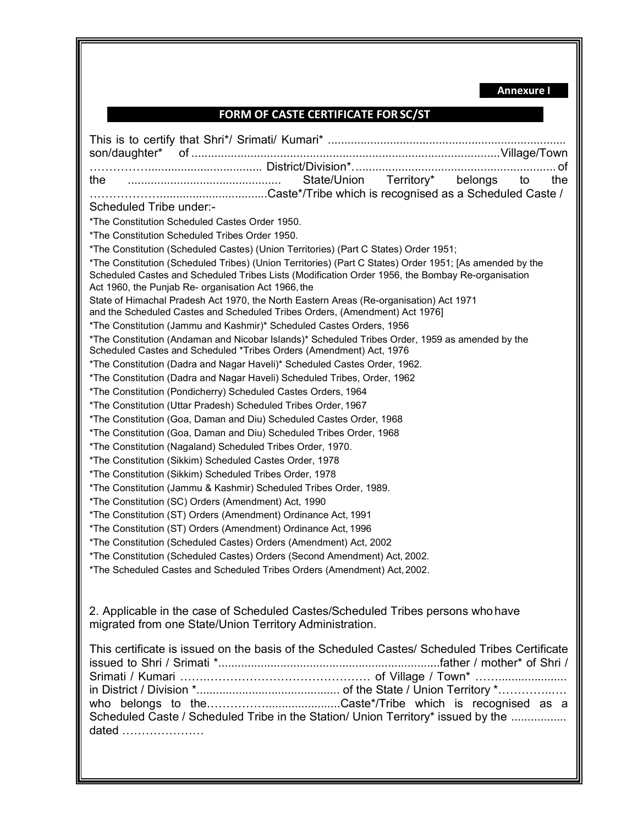Annexure I

# FORM OF CASTE CERTIFICATE FOR SC/ST

|                                                                                                         | . of |
|---------------------------------------------------------------------------------------------------------|------|
| State/Union Territory* belongs<br>to                                                                    | the  |
|                                                                                                         |      |
| Scheduled Tribe under:-                                                                                 |      |
| *The Constitution Scheduled Castes Order 1950.                                                          |      |
| *The Constitution Scheduled Tribes Order 1950.                                                          |      |
| *The Constitution (Scheduled Castes) (Union Territories) (Part C States) Order 1951;                    |      |
| *The Constitution (Scheduled Tribes) (Union Territories) (Part C States) Order 1951; [As amended by the |      |
| Scheduled Castes and Scheduled Tribes Lists (Modification Order 1956, the Bombay Re-organisation        |      |
| Act 1960, the Punjab Re- organisation Act 1966, the                                                     |      |
| State of Himachal Pradesh Act 1970, the North Eastern Areas (Re-organisation) Act 1971                  |      |
| and the Scheduled Castes and Scheduled Tribes Orders, (Amendment) Act 1976]                             |      |
| *The Constitution (Jammu and Kashmir)* Scheduled Castes Orders, 1956                                    |      |
| *The Constitution (Andaman and Nicobar Islands)* Scheduled Tribes Order, 1959 as amended by the         |      |
| Scheduled Castes and Scheduled *Tribes Orders (Amendment) Act, 1976                                     |      |
| *The Constitution (Dadra and Nagar Haveli)* Scheduled Castes Order, 1962.                               |      |
| *The Constitution (Dadra and Nagar Haveli) Scheduled Tribes, Order, 1962                                |      |
| *The Constitution (Pondicherry) Scheduled Castes Orders, 1964                                           |      |
| *The Constitution (Uttar Pradesh) Scheduled Tribes Order, 1967                                          |      |
| *The Constitution (Goa, Daman and Diu) Scheduled Castes Order, 1968                                     |      |
| *The Constitution (Goa, Daman and Diu) Scheduled Tribes Order, 1968                                     |      |
| *The Constitution (Nagaland) Scheduled Tribes Order, 1970.                                              |      |
| *The Constitution (Sikkim) Scheduled Castes Order, 1978                                                 |      |
| *The Constitution (Sikkim) Scheduled Tribes Order, 1978                                                 |      |
| *The Constitution (Jammu & Kashmir) Scheduled Tribes Order, 1989.                                       |      |
| *The Constitution (SC) Orders (Amendment) Act, 1990                                                     |      |
| *The Constitution (ST) Orders (Amendment) Ordinance Act, 1991                                           |      |
| *The Constitution (ST) Orders (Amendment) Ordinance Act, 1996                                           |      |
|                                                                                                         |      |
| *The Constitution (Scheduled Castes) Orders (Amendment) Act, 2002                                       |      |
| *The Constitution (Scheduled Castes) Orders (Second Amendment) Act, 2002.                               |      |
| *The Scheduled Castes and Scheduled Tribes Orders (Amendment) Act, 2002.                                |      |
|                                                                                                         |      |
|                                                                                                         |      |
| 2. Applicable in the case of Scheduled Castes/Scheduled Tribes persons who have                         |      |
| migrated from one State/Union Territory Administration.                                                 |      |
| This certificate is issued on the basis of the Scheduled Castes/ Scheduled Tribes Certificate           |      |
|                                                                                                         |      |
|                                                                                                         |      |
|                                                                                                         |      |
|                                                                                                         |      |
| Scheduled Caste / Scheduled Tribe in the Station/ Union Territory* issued by the                        |      |
| dated                                                                                                   |      |
|                                                                                                         |      |
|                                                                                                         |      |
|                                                                                                         |      |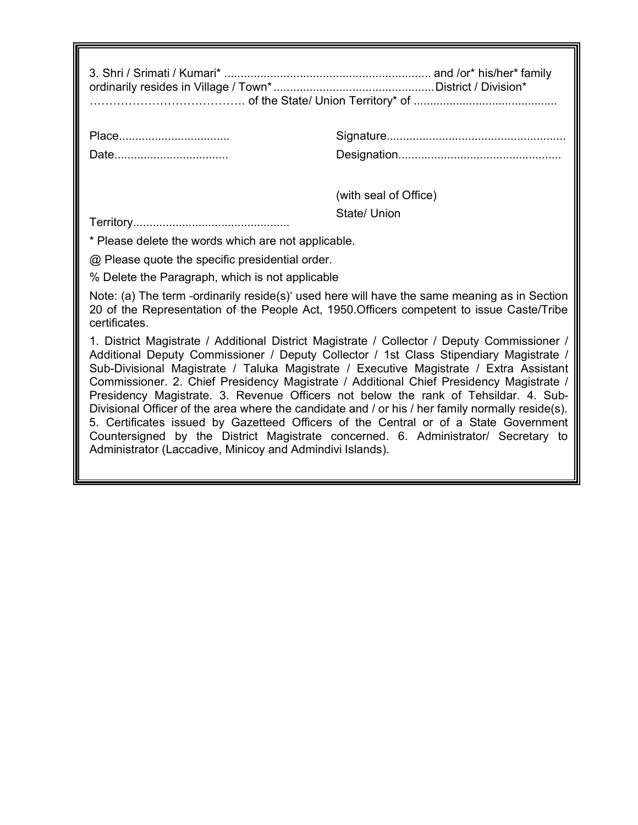| Place                                                                                                                                                                                                                                                                                                                                                                                                                                                                                                                                                                                                                                                                                                                                                                                                            |                       |  |  |
|------------------------------------------------------------------------------------------------------------------------------------------------------------------------------------------------------------------------------------------------------------------------------------------------------------------------------------------------------------------------------------------------------------------------------------------------------------------------------------------------------------------------------------------------------------------------------------------------------------------------------------------------------------------------------------------------------------------------------------------------------------------------------------------------------------------|-----------------------|--|--|
| Date                                                                                                                                                                                                                                                                                                                                                                                                                                                                                                                                                                                                                                                                                                                                                                                                             |                       |  |  |
|                                                                                                                                                                                                                                                                                                                                                                                                                                                                                                                                                                                                                                                                                                                                                                                                                  | (with seal of Office) |  |  |
|                                                                                                                                                                                                                                                                                                                                                                                                                                                                                                                                                                                                                                                                                                                                                                                                                  | State/ Union          |  |  |
| * Please delete the words which are not applicable.                                                                                                                                                                                                                                                                                                                                                                                                                                                                                                                                                                                                                                                                                                                                                              |                       |  |  |
| @ Please quote the specific presidential order.                                                                                                                                                                                                                                                                                                                                                                                                                                                                                                                                                                                                                                                                                                                                                                  |                       |  |  |
| % Delete the Paragraph, which is not applicable                                                                                                                                                                                                                                                                                                                                                                                                                                                                                                                                                                                                                                                                                                                                                                  |                       |  |  |
| Note: (a) The term -ordinarily reside(s) used here will have the same meaning as in Section<br>20 of the Representation of the People Act, 1950. Officers competent to issue Caste/Tribe<br>certificates.                                                                                                                                                                                                                                                                                                                                                                                                                                                                                                                                                                                                        |                       |  |  |
| 1. District Magistrate / Additional District Magistrate / Collector / Deputy Commissioner /<br>Additional Deputy Commissioner / Deputy Collector / 1st Class Stipendiary Magistrate /<br>Sub-Divisional Magistrate / Taluka Magistrate / Executive Magistrate / Extra Assistant<br>Commissioner. 2. Chief Presidency Magistrate / Additional Chief Presidency Magistrate /<br>Presidency Magistrate. 3. Revenue Officers not below the rank of Tehsildar. 4. Sub-<br>Divisional Officer of the area where the candidate and / or his / her family normally reside(s).<br>5. Certificates issued by Gazetteed Officers of the Central or of a State Government<br>Countersigned by the District Magistrate concerned. 6. Administrator/ Secretary to<br>Administrator (Laccadive, Minicoy and Admindivi Islands). |                       |  |  |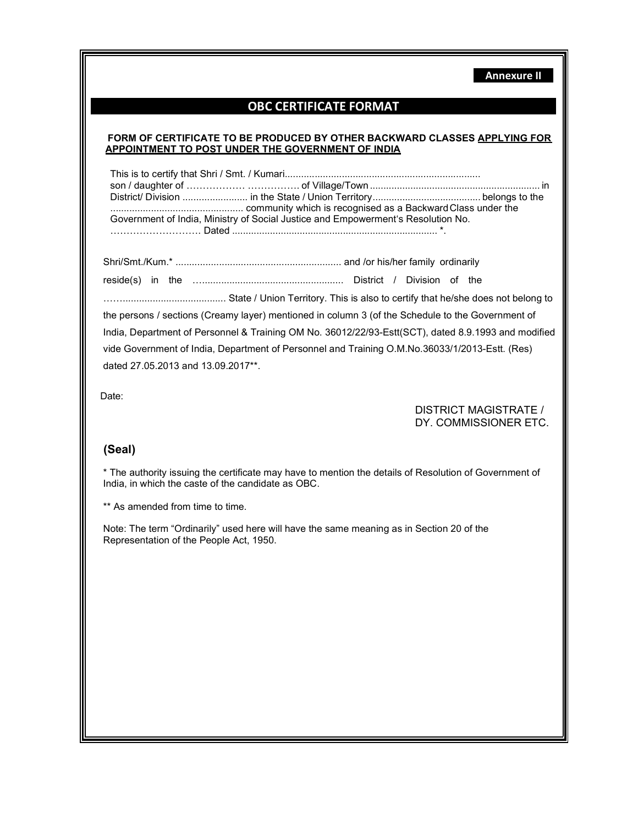Annexure II

# OBC CERTIFICATE FORMAT

#### FORM OF CERTIFICATE TO BE PRODUCED BY OTHER BACKWARD CLASSES APPLYING FOR APPOINTMENT TO POST UNDER THE GOVERNMENT OF INDIA

| Government of India, Ministry of Social Justice and Empowerment's Resolution No. |  |  |  |  |
|----------------------------------------------------------------------------------|--|--|--|--|
|                                                                                  |  |  |  |  |

Shri/Smt./Kum.\* ............................................................. and /or his/her family ordinarily

reside(s) in the ….................................................... District / Division of the

……...................................... State / Union Territory. This is also to certify that he/she does not belong to the persons / sections (Creamy layer) mentioned in column 3 (of the Schedule to the Government of India, Department of Personnel & Training OM No. 36012/22/93-Estt(SCT), dated 8.9.1993 and modified vide Government of India, Department of Personnel and Training O.M.No.36033/1/2013-Estt. (Res) dated 27.05.2013 and 13.09.2017\*\*.

Date:

DISTRICT MAGISTRATE / DY. COMMISSIONER ETC.

### (Seal)

\* The authority issuing the certificate may have to mention the details of Resolution of Government of India, in which the caste of the candidate as OBC.

\*\* As amended from time to time.

Note: The term "Ordinarily" used here will have the same meaning as in Section 20 of the Representation of the People Act, 1950.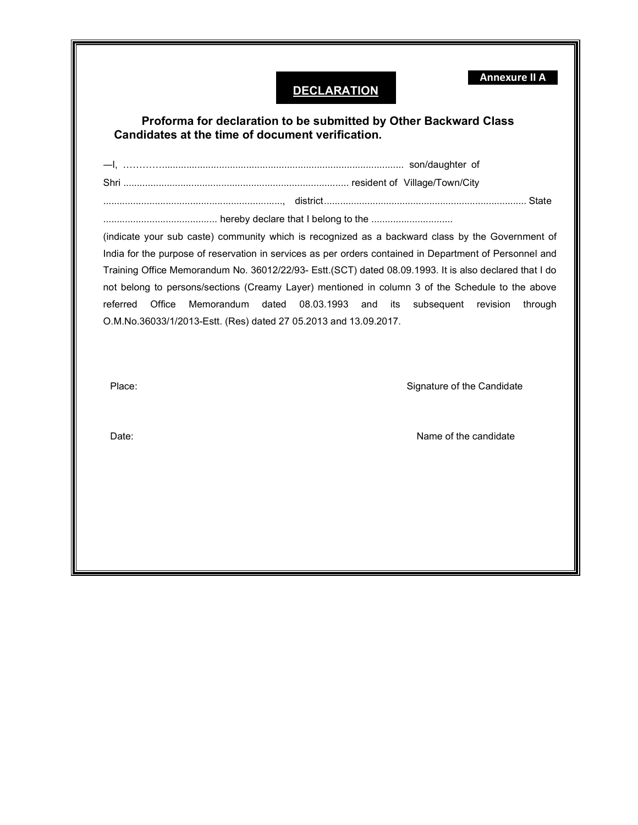| referred<br>Office | Memorandum<br>08.03.1993<br>dated<br>and<br>its<br>subsequent<br>revision<br>through<br>O.M.No.36033/1/2013-Estt. (Res) dated 27 05.2013 and 13.09.2017. |
|--------------------|----------------------------------------------------------------------------------------------------------------------------------------------------------|
|                    | Signature of the Candidate                                                                                                                               |
| Place:             |                                                                                                                                                          |
| Date:              | Name of the candidate                                                                                                                                    |

╚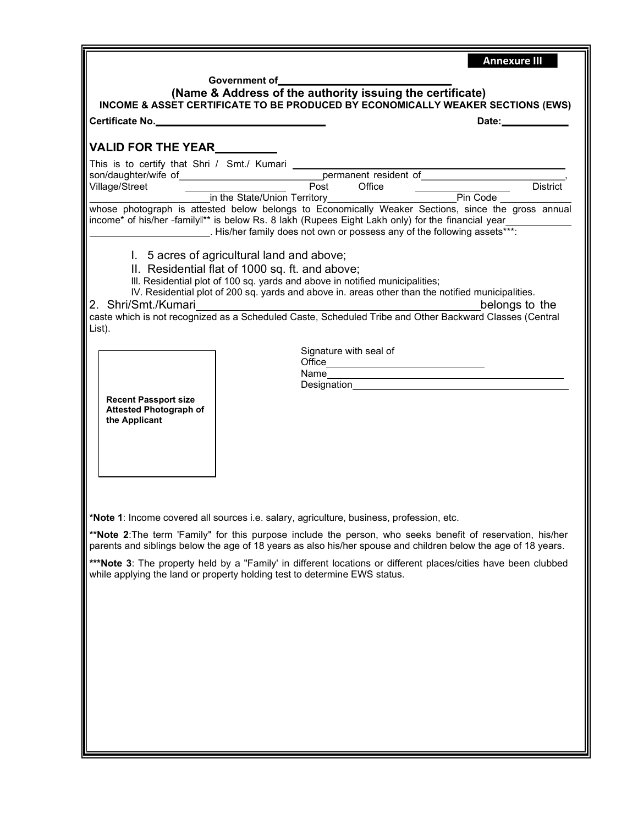|                                                                               | <b>Annexure III</b>                                                                                                                                                                                                                                                                                                                                                                                             |
|-------------------------------------------------------------------------------|-----------------------------------------------------------------------------------------------------------------------------------------------------------------------------------------------------------------------------------------------------------------------------------------------------------------------------------------------------------------------------------------------------------------|
|                                                                               | Government of<br>(Name & Address of the authority issuing the certificate)<br>INCOME & ASSET CERTIFICATE TO BE PRODUCED BY ECONOMICALLY WEAKER SECTIONS (EWS)                                                                                                                                                                                                                                                   |
| Certificate No.                                                               | Date: the contract of the contract of the contract of the contract of the contract of the contract of the contract of the contract of the contract of the contract of the contract of the contract of the contract of the cont                                                                                                                                                                                  |
|                                                                               |                                                                                                                                                                                                                                                                                                                                                                                                                 |
|                                                                               |                                                                                                                                                                                                                                                                                                                                                                                                                 |
|                                                                               |                                                                                                                                                                                                                                                                                                                                                                                                                 |
|                                                                               | This is to certify that Shri / Smt./ Kumari<br>son/daughter/wife of<br>Village/Street<br>in the State/Union Territory<br>in the State/Union Territory<br>Fin Code<br>Fin Code<br>Fin Code<br>Fin Code                                                                                                                                                                                                           |
|                                                                               | whose photograph is attested below belongs to Economically Weaker Sections, since the gross annual<br>income* of his/her -familyl <sup>**</sup> is below Rs. 8 lakh (Rupees Eight Lakh only) for the financial year____________<br>. His/her family does not own or possess any of the following assets***:                                                                                                     |
| 2. Shri/Smt./Kumari<br>List).                                                 | 1. 5 acres of agricultural land and above;<br>II. Residential flat of 1000 sq. ft. and above;<br>III. Residential plot of 100 sq. yards and above in notified municipalities;<br>IV. Residential plot of 200 sq. yards and above in. areas other than the notified municipalities.<br>belongs to the<br>caste which is not recognized as a Scheduled Caste, Scheduled Tribe and Other Backward Classes (Central |
|                                                                               |                                                                                                                                                                                                                                                                                                                                                                                                                 |
|                                                                               | Signature with seal of                                                                                                                                                                                                                                                                                                                                                                                          |
|                                                                               |                                                                                                                                                                                                                                                                                                                                                                                                                 |
|                                                                               |                                                                                                                                                                                                                                                                                                                                                                                                                 |
| <b>Recent Passport size</b><br><b>Attested Photograph of</b><br>the Applicant |                                                                                                                                                                                                                                                                                                                                                                                                                 |
|                                                                               | Note 1: Income covered all sources i.e. salary, agriculture, business, profession, etc.<br>**Note 2: The term 'Family" for this purpose include the person, who seeks benefit of reservation, his/her                                                                                                                                                                                                           |
|                                                                               | parents and siblings below the age of 18 years as also his/her spouse and children below the age of 18 years.                                                                                                                                                                                                                                                                                                   |
|                                                                               | *** Note 3: The property held by a "Family' in different locations or different places/cities have been clubbed<br>while applying the land or property holding test to determine EWS status.                                                                                                                                                                                                                    |
|                                                                               |                                                                                                                                                                                                                                                                                                                                                                                                                 |
|                                                                               |                                                                                                                                                                                                                                                                                                                                                                                                                 |
|                                                                               |                                                                                                                                                                                                                                                                                                                                                                                                                 |
|                                                                               |                                                                                                                                                                                                                                                                                                                                                                                                                 |
|                                                                               |                                                                                                                                                                                                                                                                                                                                                                                                                 |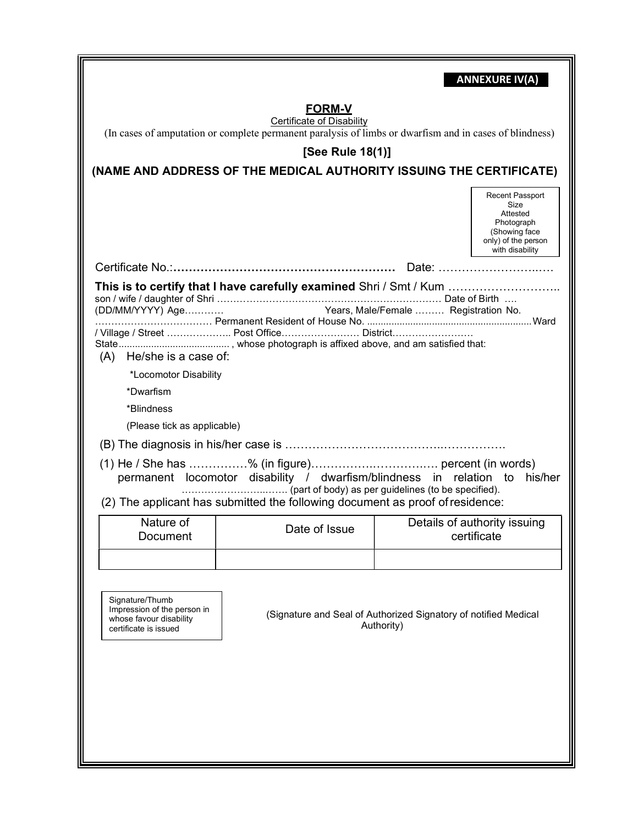|                                                                                                                                                                                                           |                                                                                                                                                     |                                                                               | <b>ANNEXURE IV(A)</b>                                                                                        |  |  |
|-----------------------------------------------------------------------------------------------------------------------------------------------------------------------------------------------------------|-----------------------------------------------------------------------------------------------------------------------------------------------------|-------------------------------------------------------------------------------|--------------------------------------------------------------------------------------------------------------|--|--|
| <u>FORM-V</u>                                                                                                                                                                                             |                                                                                                                                                     |                                                                               |                                                                                                              |  |  |
|                                                                                                                                                                                                           | <b>Certificate of Disability</b><br>(In cases of amputation or complete permanent paralysis of limbs or dwarfism and in cases of blindness)         |                                                                               |                                                                                                              |  |  |
|                                                                                                                                                                                                           | [See Rule 18(1)]                                                                                                                                    |                                                                               |                                                                                                              |  |  |
|                                                                                                                                                                                                           |                                                                                                                                                     |                                                                               |                                                                                                              |  |  |
|                                                                                                                                                                                                           | (NAME AND ADDRESS OF THE MEDICAL AUTHORITY ISSUING THE CERTIFICATE)                                                                                 |                                                                               |                                                                                                              |  |  |
|                                                                                                                                                                                                           |                                                                                                                                                     |                                                                               | Recent Passport<br>Size<br>Attested<br>Photograph<br>(Showing face<br>only) of the person<br>with disability |  |  |
|                                                                                                                                                                                                           |                                                                                                                                                     |                                                                               |                                                                                                              |  |  |
| This is to certify that I have carefully examined Shri / Smt / Kum<br>Years, Male/Female  Registration No.<br>(DD/MM/YYYY) Age<br>/ Village / Street  Post Office District<br>He/she is a case of:<br>(A) |                                                                                                                                                     |                                                                               |                                                                                                              |  |  |
| *Locomotor Disability                                                                                                                                                                                     |                                                                                                                                                     |                                                                               |                                                                                                              |  |  |
| *Dwarfism                                                                                                                                                                                                 |                                                                                                                                                     |                                                                               |                                                                                                              |  |  |
| *Blindness                                                                                                                                                                                                |                                                                                                                                                     |                                                                               |                                                                                                              |  |  |
| (Please tick as applicable)                                                                                                                                                                               |                                                                                                                                                     |                                                                               |                                                                                                              |  |  |
|                                                                                                                                                                                                           |                                                                                                                                                     |                                                                               |                                                                                                              |  |  |
|                                                                                                                                                                                                           | permanent locomotor disability / dwarfism/blindness in relation to<br>(2) The applicant has submitted the following document as proof of residence: |                                                                               | his/her                                                                                                      |  |  |
| Nature of                                                                                                                                                                                                 | Date of Issue                                                                                                                                       | Details of authority issuing                                                  |                                                                                                              |  |  |
| Document                                                                                                                                                                                                  |                                                                                                                                                     | certificate                                                                   |                                                                                                              |  |  |
|                                                                                                                                                                                                           |                                                                                                                                                     |                                                                               |                                                                                                              |  |  |
| Signature/Thumb<br>Impression of the person in<br>whose favour disability<br>certificate is issued                                                                                                        |                                                                                                                                                     | (Signature and Seal of Authorized Signatory of notified Medical<br>Authority) |                                                                                                              |  |  |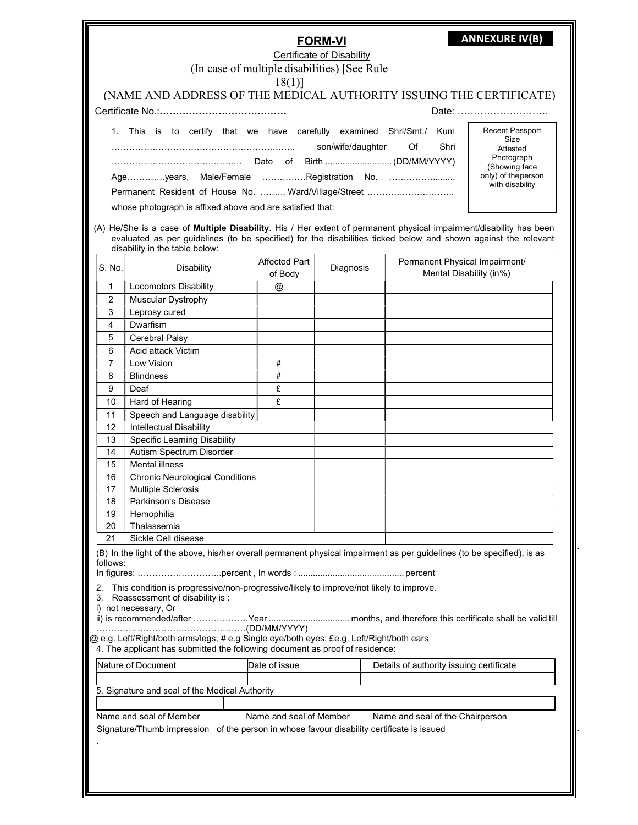|          |                                                                                                                                                                                                                                                                        |                          | <b>FORM-VI</b> |                                                           | <b>ANNEXURE IV(B)</b>                  |  |
|----------|------------------------------------------------------------------------------------------------------------------------------------------------------------------------------------------------------------------------------------------------------------------------|--------------------------|----------------|-----------------------------------------------------------|----------------------------------------|--|
|          | <b>Certificate of Disability</b>                                                                                                                                                                                                                                       |                          |                |                                                           |                                        |  |
|          | (In case of multiple disabilities) [See Rule<br>$18(1)$ ]                                                                                                                                                                                                              |                          |                |                                                           |                                        |  |
|          |                                                                                                                                                                                                                                                                        |                          |                |                                                           |                                        |  |
|          | (NAME AND ADDRESS OF THE MEDICAL AUTHORITY ISSUING THE CERTIFICATE)<br>Date:                                                                                                                                                                                           |                          |                |                                                           |                                        |  |
|          | 1. This is to certify that we have carefully examined Shri/Smt./ Kum                                                                                                                                                                                                   |                          |                |                                                           | Recent Passport                        |  |
|          | son/wife/daughter<br>Of a<br>Shri                                                                                                                                                                                                                                      |                          |                |                                                           |                                        |  |
|          |                                                                                                                                                                                                                                                                        |                          |                |                                                           | Photograph<br>(Showing face            |  |
|          | Age…………years,                                                                                                                                                                                                                                                          |                          |                | Male/Female Registration No.                              | only) of the person<br>with disability |  |
|          |                                                                                                                                                                                                                                                                        |                          |                |                                                           |                                        |  |
|          | whose photograph is affixed above and are satisfied that:                                                                                                                                                                                                              |                          |                |                                                           |                                        |  |
|          | (A) He/She is a case of Multiple Disability. His / Her extent of permanent physical impairment/disability has been<br>evaluated as per guidelines (to be specified) for the disabilities ticked below and shown against the relevant<br>disability in the table below: |                          |                |                                                           |                                        |  |
| S. No.   | <b>Disability</b>                                                                                                                                                                                                                                                      | Affected Part<br>of Body | Diagnosis      | Permanent Physical Impairment/<br>Mental Disability (in%) |                                        |  |
| 1        | <b>Locomotors Disability</b>                                                                                                                                                                                                                                           | @                        |                |                                                           |                                        |  |
| 2        | <b>Muscular Dystrophy</b>                                                                                                                                                                                                                                              |                          |                |                                                           |                                        |  |
| 3        | Leprosy cured                                                                                                                                                                                                                                                          |                          |                |                                                           |                                        |  |
| 4        | Dwarfism                                                                                                                                                                                                                                                               |                          |                |                                                           |                                        |  |
| 5        | Cerebral Palsy                                                                                                                                                                                                                                                         |                          |                |                                                           |                                        |  |
| 6<br>7   | Acid attack Victim<br>Low Vision                                                                                                                                                                                                                                       | #                        |                |                                                           |                                        |  |
| 8        | <b>Blindness</b>                                                                                                                                                                                                                                                       | $\#$                     |                |                                                           |                                        |  |
| 9        | Deaf                                                                                                                                                                                                                                                                   | £                        |                |                                                           |                                        |  |
| 10       | Hard of Hearing                                                                                                                                                                                                                                                        | £                        |                |                                                           |                                        |  |
| 11       | Speech and Language disability                                                                                                                                                                                                                                         |                          |                |                                                           |                                        |  |
| 12       | Intellectual Disability                                                                                                                                                                                                                                                |                          |                |                                                           |                                        |  |
| 13       | <b>Specific Learning Disability</b>                                                                                                                                                                                                                                    |                          |                |                                                           |                                        |  |
| 14       | Autism Spectrum Disorder                                                                                                                                                                                                                                               |                          |                |                                                           |                                        |  |
| 15       | <b>Mental illness</b>                                                                                                                                                                                                                                                  |                          |                |                                                           |                                        |  |
| 16       | <b>Chronic Neurological Conditions</b>                                                                                                                                                                                                                                 |                          |                |                                                           |                                        |  |
| 17       | <b>Multiple Sclerosis</b>                                                                                                                                                                                                                                              |                          |                |                                                           |                                        |  |
| 18<br>19 | Parkinson's Disease<br>Hemophilia                                                                                                                                                                                                                                      |                          |                |                                                           |                                        |  |
| 20       | Thalassemia                                                                                                                                                                                                                                                            |                          |                |                                                           |                                        |  |
| 21       | Sickle Cell disease                                                                                                                                                                                                                                                    |                          |                |                                                           |                                        |  |
|          | (B) In the light of the above, his/her overall permanent physical impairment as per guidelines (to be specified), is as                                                                                                                                                |                          |                |                                                           |                                        |  |
| follows: |                                                                                                                                                                                                                                                                        |                          |                |                                                           |                                        |  |
| 2.<br>3. | This condition is progressive/non-progressive/likely to improve/not likely to improve.<br>Reassessment of disability is :                                                                                                                                              |                          |                |                                                           |                                        |  |
|          | i) not necessary, Or                                                                                                                                                                                                                                                   |                          |                |                                                           |                                        |  |
|          | ii) is recommended/after Year  months, and therefore this certificate shall be valid till                                                                                                                                                                              |                          |                |                                                           |                                        |  |
|          | @ e.g. Left/Right/both arms/legs; # e.g Single eye/both eyes; £e.g. Left/Right/both ears<br>4. The applicant has submitted the following document as proof of residence:                                                                                               |                          |                |                                                           |                                        |  |
|          | Nature of Document                                                                                                                                                                                                                                                     | Date of issue            |                | Details of authority issuing certificate                  |                                        |  |
|          |                                                                                                                                                                                                                                                                        |                          |                |                                                           |                                        |  |
|          | 5. Signature and seal of the Medical Authority                                                                                                                                                                                                                         |                          |                |                                                           |                                        |  |
|          | Name and seal of Member                                                                                                                                                                                                                                                | Name and seal of Member  |                | Name and seal of the Chairperson                          |                                        |  |
|          | Signature/Thumb impression of the person in whose favour disability certificate is issued                                                                                                                                                                              |                          |                |                                                           |                                        |  |
|          |                                                                                                                                                                                                                                                                        |                          |                |                                                           |                                        |  |
|          |                                                                                                                                                                                                                                                                        |                          |                |                                                           |                                        |  |
|          |                                                                                                                                                                                                                                                                        |                          |                |                                                           |                                        |  |
|          |                                                                                                                                                                                                                                                                        |                          |                |                                                           |                                        |  |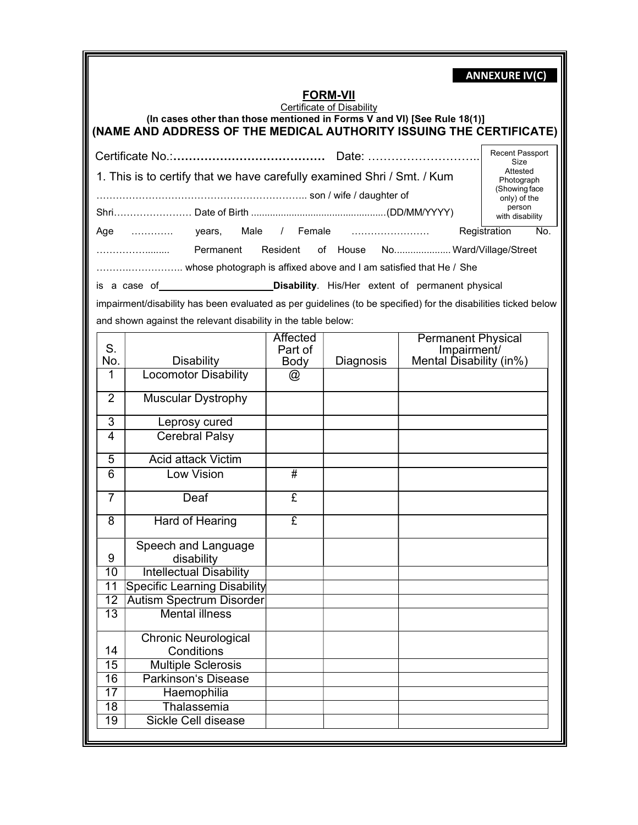|                                    | <b>ANNEXURE IV(C)</b><br><b>FORM-VII</b><br>Certificate of Disability<br>(In cases other than those mentioned in Forms V and VI) [See Rule 18(1)]<br>(NAME AND ADDRESS OF THE MEDICAL AUTHORITY ISSUING THE CERTIFICATE) |                             |           |                                                                     |                     |  |
|------------------------------------|--------------------------------------------------------------------------------------------------------------------------------------------------------------------------------------------------------------------------|-----------------------------|-----------|---------------------------------------------------------------------|---------------------|--|
|                                    |                                                                                                                                                                                                                          |                             |           |                                                                     | Recent Passport     |  |
|                                    | Size<br>Attested<br>1. This is to certify that we have carefully examined Shri / Smt. / Kum<br>Photograph<br>(Showing face<br>only) of the<br>person<br>with disability                                                  |                             |           |                                                                     |                     |  |
| Age                                | Male<br>years,                                                                                                                                                                                                           |                             | / Female  |                                                                     | Registration<br>No. |  |
|                                    | Permanent                                                                                                                                                                                                                | Resident                    |           | of House No Ward/Village/Street                                     |                     |  |
|                                    | whose photograph is affixed above and I am satisfied that He / She                                                                                                                                                       |                             |           |                                                                     |                     |  |
|                                    | is a case of <b>Commission Commission Control</b> Disability. His/Her extent of permanent physical                                                                                                                       |                             |           |                                                                     |                     |  |
|                                    | impairment/disability has been evaluated as per guidelines (to be specified) for the disabilities ticked below                                                                                                           |                             |           |                                                                     |                     |  |
|                                    |                                                                                                                                                                                                                          |                             |           |                                                                     |                     |  |
|                                    | and shown against the relevant disability in the table below:                                                                                                                                                            |                             |           |                                                                     |                     |  |
| S.<br>No.                          | <b>Disability</b>                                                                                                                                                                                                        | Affected<br>Part of<br>Body | Diagnosis | <b>Permanent Physical</b><br>Impairment/<br>Mental Disability (in%) |                     |  |
| 1                                  | <b>Locomotor Disability</b>                                                                                                                                                                                              | @                           |           |                                                                     |                     |  |
| $\overline{2}$                     | <b>Muscular Dystrophy</b>                                                                                                                                                                                                |                             |           |                                                                     |                     |  |
| 3                                  | Leprosy cured                                                                                                                                                                                                            |                             |           |                                                                     |                     |  |
| 4                                  | <b>Cerebral Palsy</b>                                                                                                                                                                                                    |                             |           |                                                                     |                     |  |
| $\overline{5}$                     | <b>Acid attack Victim</b>                                                                                                                                                                                                |                             |           |                                                                     |                     |  |
| $\overline{6}$                     | Low Vision                                                                                                                                                                                                               | #                           |           |                                                                     |                     |  |
|                                    |                                                                                                                                                                                                                          |                             |           |                                                                     |                     |  |
| $\overline{7}$                     | Deaf                                                                                                                                                                                                                     | £                           |           |                                                                     |                     |  |
| 8                                  | Hard of Hearing                                                                                                                                                                                                          | £                           |           |                                                                     |                     |  |
|                                    | Speech and Language                                                                                                                                                                                                      |                             |           |                                                                     |                     |  |
| 9                                  | disability                                                                                                                                                                                                               |                             |           |                                                                     |                     |  |
| 10                                 | <b>Intellectual Disability</b>                                                                                                                                                                                           |                             |           |                                                                     |                     |  |
| $\overline{11}$                    | <b>Specific Learning Disability</b>                                                                                                                                                                                      |                             |           |                                                                     |                     |  |
| $\overline{12}$<br>$\overline{13}$ | <b>Autism Spectrum Disorder</b><br><b>Mental illness</b>                                                                                                                                                                 |                             |           |                                                                     |                     |  |
|                                    |                                                                                                                                                                                                                          |                             |           |                                                                     |                     |  |
|                                    | <b>Chronic Neurological</b>                                                                                                                                                                                              |                             |           |                                                                     |                     |  |
| 14                                 | Conditions                                                                                                                                                                                                               |                             |           |                                                                     |                     |  |
| 15                                 | <b>Multiple Sclerosis</b>                                                                                                                                                                                                |                             |           |                                                                     |                     |  |
| $\overline{16}$                    | <b>Parkinson's Disease</b>                                                                                                                                                                                               |                             |           |                                                                     |                     |  |
| 17                                 | Haemophilia                                                                                                                                                                                                              |                             |           |                                                                     |                     |  |
| 18<br>$\overline{19}$              | Thalassemia<br><b>Sickle Cell disease</b>                                                                                                                                                                                |                             |           |                                                                     |                     |  |
|                                    |                                                                                                                                                                                                                          |                             |           |                                                                     |                     |  |

کا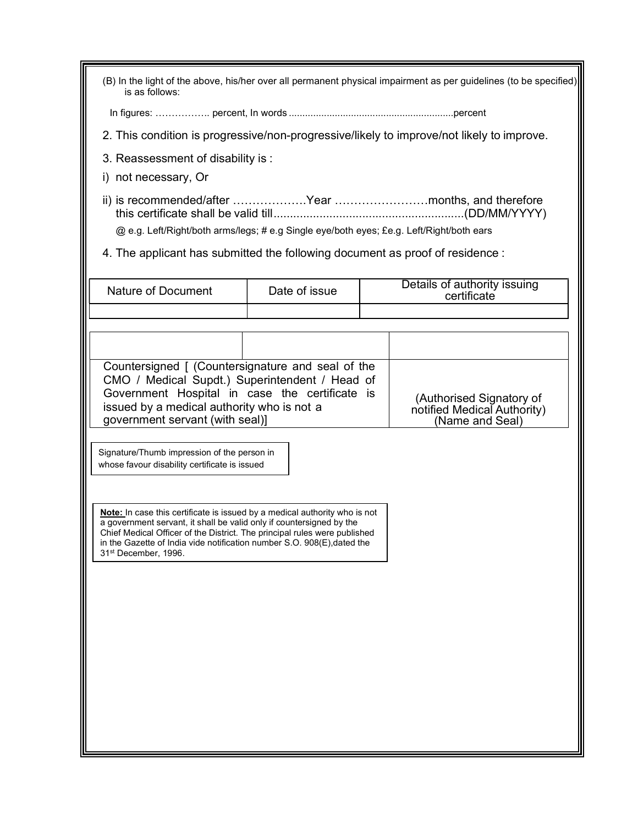| (B) In the light of the above, his/her over all permanent physical impairment as per guidelines (to be specified)<br>is as follows:                                                                                                                                                                                                                                                                                  |               |                                                                                           |  |  |  |
|----------------------------------------------------------------------------------------------------------------------------------------------------------------------------------------------------------------------------------------------------------------------------------------------------------------------------------------------------------------------------------------------------------------------|---------------|-------------------------------------------------------------------------------------------|--|--|--|
|                                                                                                                                                                                                                                                                                                                                                                                                                      |               |                                                                                           |  |  |  |
|                                                                                                                                                                                                                                                                                                                                                                                                                      |               | 2. This condition is progressive/non-progressive/likely to improve/not likely to improve. |  |  |  |
| 3. Reassessment of disability is:                                                                                                                                                                                                                                                                                                                                                                                    |               |                                                                                           |  |  |  |
| i) not necessary, Or                                                                                                                                                                                                                                                                                                                                                                                                 |               |                                                                                           |  |  |  |
| @ e.g. Left/Right/both arms/legs; # e.g Single eye/both eyes; £e.g. Left/Right/both ears                                                                                                                                                                                                                                                                                                                             |               |                                                                                           |  |  |  |
| 4. The applicant has submitted the following document as proof of residence :                                                                                                                                                                                                                                                                                                                                        |               |                                                                                           |  |  |  |
| <b>Nature of Document</b>                                                                                                                                                                                                                                                                                                                                                                                            | Date of issue | Details of authority issuing<br>certificate                                               |  |  |  |
|                                                                                                                                                                                                                                                                                                                                                                                                                      |               |                                                                                           |  |  |  |
|                                                                                                                                                                                                                                                                                                                                                                                                                      |               |                                                                                           |  |  |  |
| Countersigned [ (Countersignature and seal of the<br>CMO / Medical Supdt.) Superintendent / Head of<br>Government Hospital in case the certificate is<br>(Authorised Signatory of<br>notified Medical Authority)<br>issued by a medical authority who is not a<br>government servant (with seal)]<br>(Name and Seal)<br>Signature/Thumb impression of the person in<br>whose favour disability certificate is issued |               |                                                                                           |  |  |  |
| Note: In case this certificate is issued by a medical authority who is not<br>a government servant, it shall be valid only if countersigned by the<br>Chief Medical Officer of the District. The principal rules were published<br>in the Gazette of India vide notification number S.O. 908(E), dated the<br>31 <sup>st</sup> December, 1996.                                                                       |               |                                                                                           |  |  |  |
|                                                                                                                                                                                                                                                                                                                                                                                                                      |               |                                                                                           |  |  |  |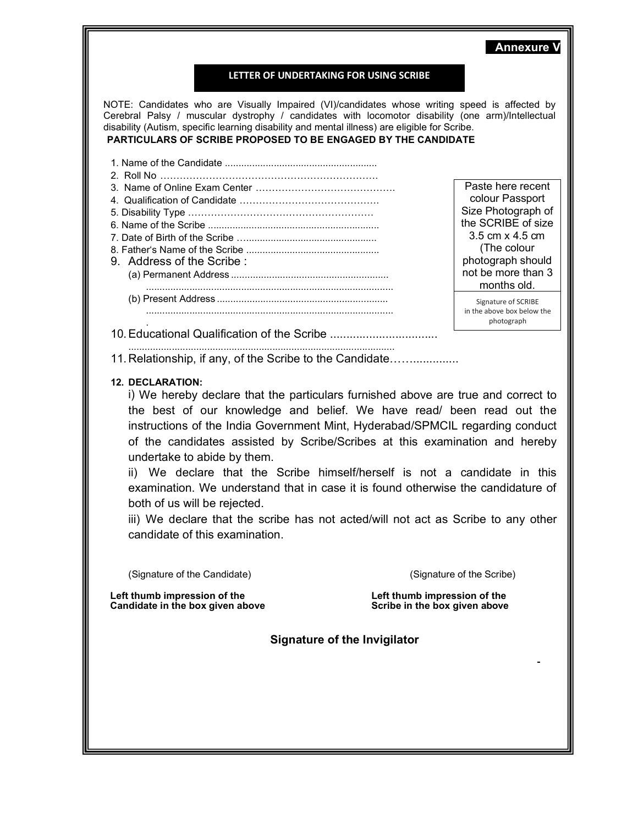### LETTER OF UNDERTAKING FOR USING SCRIBE

NOTE: Candidates who are Visually Impaired (VI)/candidates whose writing speed is affected by Cerebral Palsy / muscular dystrophy / candidates with locomotor disability (one arm)/Intellectual disability (Autism, specific learning disability and mental illness) are eligible for Scribe. PARTICULARS OF SCRIBE PROPOSED TO BE ENGAGED BY THE CANDIDATE

- 1. Name of the Candidate ........................................................
- 2. Roll No ………………………………………………………….
- 3. Name of Online Exam Center …………………………………….
- 4. Qualification of Candidate …………………………………….
- 5. Disability Type ………………………………………………… 6. Name of the Scribe ...............................................................
- 7. Date of Birth of the Scribe …................................................
- 8. Father's Name of the Scribe ................................................. 9. Address of the Scribe : (a) Permanent Address ..........................................................
	- ........................................................................................... (b) Present Address ...............................................................

Paste here recent colour Passport Size Photograph of the SCRIBE of size 3.5 cm x 4.5 cm (The colour photograph should not be more than 3 months old.

Annexure V

Signature of SCRIBE in the above box below the photograph

. 10. Educational Qualification of the Scribe ................................. ..................................................................................................

...........................................................................................

11. Relationship, if any, of the Scribe to the Candidate……..............

### 12. DECLARATION:

i) We hereby declare that the particulars furnished above are true and correct to the best of our knowledge and belief. We have read/ been read out the instructions of the India Government Mint, Hyderabad/SPMCIL regarding conduct of the candidates assisted by Scribe/Scribes at this examination and hereby undertake to abide by them.

ii) We declare that the Scribe himself/herself is not a candidate in this examination. We understand that in case it is found otherwise the candidature of both of us will be rejected.

iii) We declare that the scribe has not acted/will not act as Scribe to any other candidate of this examination.

(Signature of the Candidate) (Signature of the Scribe)

Left thumb impression of the Left thumb impression of the Left thumb impression of the Candidate in the box given above Candidate in the box given above

Signature of the Invigilator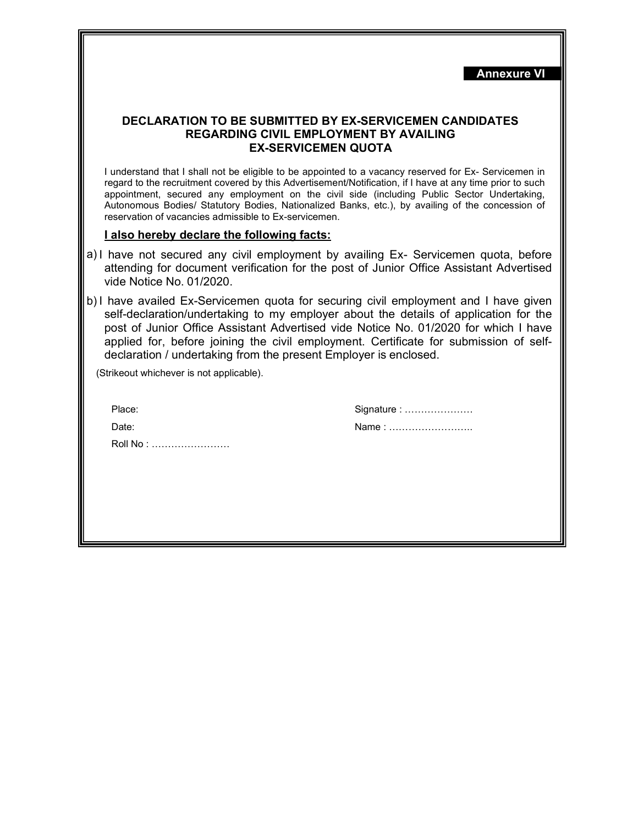|                                                                                                                                                                                                                                                                                                                                                                                                                                  | <b>Annexure VI</b>                                                                                                                                                                                                                                                                                                                                                                                                    |  |
|----------------------------------------------------------------------------------------------------------------------------------------------------------------------------------------------------------------------------------------------------------------------------------------------------------------------------------------------------------------------------------------------------------------------------------|-----------------------------------------------------------------------------------------------------------------------------------------------------------------------------------------------------------------------------------------------------------------------------------------------------------------------------------------------------------------------------------------------------------------------|--|
|                                                                                                                                                                                                                                                                                                                                                                                                                                  | <b>DECLARATION TO BE SUBMITTED BY EX-SERVICEMEN CANDIDATES</b><br><b>REGARDING CIVIL EMPLOYMENT BY AVAILING</b><br><b>EX-SERVICEMEN QUOTA</b>                                                                                                                                                                                                                                                                         |  |
| reservation of vacancies admissible to Ex-servicemen.                                                                                                                                                                                                                                                                                                                                                                            | I understand that I shall not be eligible to be appointed to a vacancy reserved for Ex- Servicemen in<br>regard to the recruitment covered by this Advertisement/Notification, if I have at any time prior to such<br>appointment, secured any employment on the civil side (including Public Sector Undertaking,<br>Autonomous Bodies/ Statutory Bodies, Nationalized Banks, etc.), by availing of the concession of |  |
| I also hereby declare the following facts:                                                                                                                                                                                                                                                                                                                                                                                       |                                                                                                                                                                                                                                                                                                                                                                                                                       |  |
| a) I have not secured any civil employment by availing Ex- Servicemen quota, before<br>attending for document verification for the post of Junior Office Assistant Advertised<br>vide Notice No. 01/2020.                                                                                                                                                                                                                        |                                                                                                                                                                                                                                                                                                                                                                                                                       |  |
| b) I have availed Ex-Servicemen quota for securing civil employment and I have given<br>self-declaration/undertaking to my employer about the details of application for the<br>post of Junior Office Assistant Advertised vide Notice No. 01/2020 for which I have<br>applied for, before joining the civil employment. Certificate for submission of self-<br>declaration / undertaking from the present Employer is enclosed. |                                                                                                                                                                                                                                                                                                                                                                                                                       |  |
| (Strikeout whichever is not applicable).                                                                                                                                                                                                                                                                                                                                                                                         |                                                                                                                                                                                                                                                                                                                                                                                                                       |  |
| Place:                                                                                                                                                                                                                                                                                                                                                                                                                           | Signature :                                                                                                                                                                                                                                                                                                                                                                                                           |  |
| Date:                                                                                                                                                                                                                                                                                                                                                                                                                            | Name:                                                                                                                                                                                                                                                                                                                                                                                                                 |  |
| Roll No:                                                                                                                                                                                                                                                                                                                                                                                                                         |                                                                                                                                                                                                                                                                                                                                                                                                                       |  |
|                                                                                                                                                                                                                                                                                                                                                                                                                                  |                                                                                                                                                                                                                                                                                                                                                                                                                       |  |
|                                                                                                                                                                                                                                                                                                                                                                                                                                  |                                                                                                                                                                                                                                                                                                                                                                                                                       |  |
|                                                                                                                                                                                                                                                                                                                                                                                                                                  |                                                                                                                                                                                                                                                                                                                                                                                                                       |  |
|                                                                                                                                                                                                                                                                                                                                                                                                                                  |                                                                                                                                                                                                                                                                                                                                                                                                                       |  |
|                                                                                                                                                                                                                                                                                                                                                                                                                                  |                                                                                                                                                                                                                                                                                                                                                                                                                       |  |